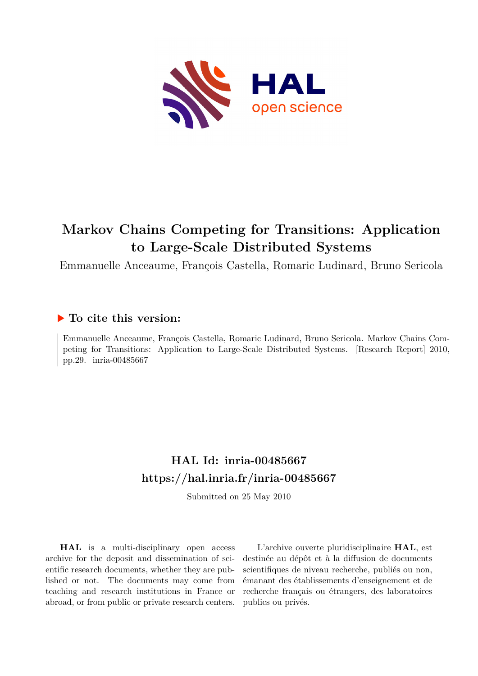

# **Markov Chains Competing for Transitions: Application to Large-Scale Distributed Systems**

Emmanuelle Anceaume, François Castella, Romaric Ludinard, Bruno Sericola

### **To cite this version:**

Emmanuelle Anceaume, François Castella, Romaric Ludinard, Bruno Sericola. Markov Chains Competing for Transitions: Application to Large-Scale Distributed Systems. [Research Report] 2010, pp.29. inria-00485667

## **HAL Id: inria-00485667 <https://hal.inria.fr/inria-00485667>**

Submitted on 25 May 2010

**HAL** is a multi-disciplinary open access archive for the deposit and dissemination of scientific research documents, whether they are published or not. The documents may come from teaching and research institutions in France or abroad, or from public or private research centers.

L'archive ouverte pluridisciplinaire **HAL**, est destinée au dépôt et à la diffusion de documents scientifiques de niveau recherche, publiés ou non, émanant des établissements d'enseignement et de recherche français ou étrangers, des laboratoires publics ou privés.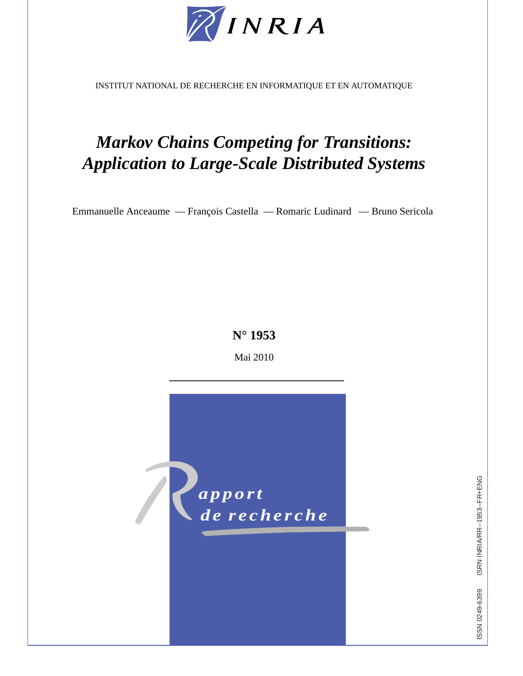

INSTITUT NATIONAL DE RECHERCHE EN INFORMATIQUE ET EN AUTOMATIQUE

# *Markov Chains Competing for Transitions: Application to Large-Scale Distributed Systems*

Emmanuelle Anceaume — François Castella — Romaric Ludinard — Bruno Sericola

## **N° 1953**

Mai 2010



ISRN INRIA/RR--1953--FR+ENG ISSN 0249-6399 ISRN INRIA/RR--1953--FR+ENG ISSN 0249-6399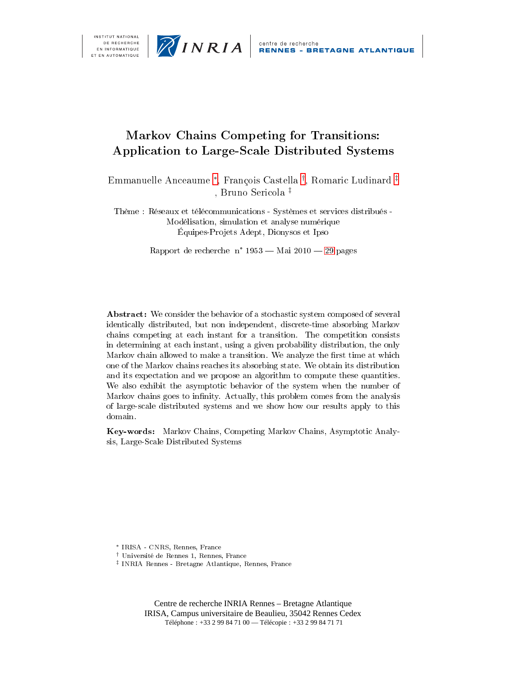



## - - 
 - 
- --

Emmanuelle Anceaume \*, François Castella <sup>†</sup>, Romaric Ludinard <sup>‡</sup> , Bruno Sericola ‡

-  

 Équipes-Projets Adept, Dionysos et Ipso

Rapport de recherche  $\rm\,n^{\circ}$  1953 — Mai 2010 — 29 pages

- , - - - 

- - + . - + - - 
/ - 
 + - + + - . 
- 0 . 
/ , 1 - 2 0-- - - . 
- - + / ,  0 +
- - / , - - - - - 0- - - . 
- + 2
/ ! - - - - + 
 0 -0 -0 
 - 

  . 3- 3
+ . 3- ! ! <sup>4</sup>+ " 
 

- <sup>†</sup> Université de Rennes 1, Rennes, France
- $^{\ddagger}$  INRIA Rennes Bretagne Atlantique, Rennes, France

Centre de recherche INRIA Rennes – Bretagne Atlantique IRISA, Campus universitaire de Beaulieu, 35042 Rennes Cedex Téléphone : +33 2 99 84 71 00 — Télécopie : +33 2 99 84 71 71

<sup>\*</sup> IRISA - CNRS, Rennes, France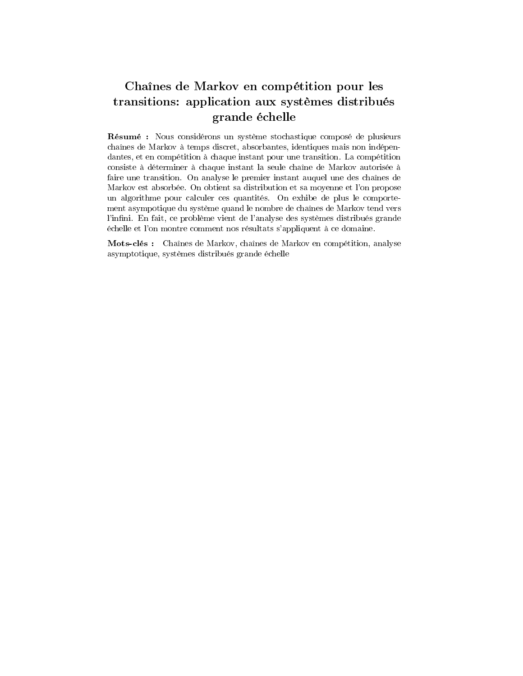## Chaînes de Markov en compétition pour les transitions: application aux systèmes distribués grande échelle

Résumé : Nous considérons un système stochastique composé de plusieurs chaînes de Markov à temps discret, absorbantes, identiques mais non indépendantes, et en compétition à chaque instant pour une transition. La compétition consiste à déterminer à chaque instant la seule chaîne de Markov autorisée à faire une transition. On analyse le premier instant auquel une des chaînes de Markov est absorbée. On obtient sa distribution et sa moyenne et l'on propose un algorithme pour calculer ces quantités. On exhibe de plus le comportement asympotique du système quand le nombre de chaînes de Markov tend vers l'infini. En fait, ce problème vient de l'analyse des systèmes distribués grande échelle et l'on montre comment nos résultats s'appliquent à ce domaine.

Mots-clés : Chaînes de Markov, chaînes de Markov en compétition, analyse asymptotique, systèmes distribués grande échelle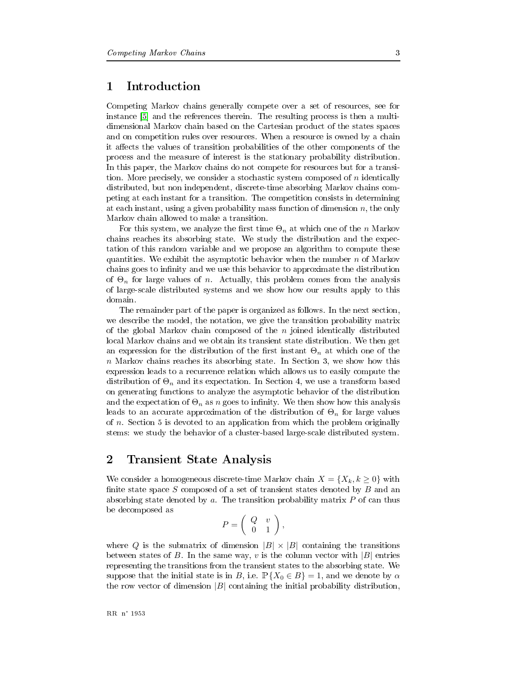#### $\mathbf 1$ Introduction

Competing Markov chains generally compete over a set of resources, see for instance [5] and the references therein. The resulting process is then a multidimensional Markov chain based on the Cartesian product of the states spaces and on competition rules over resources. When a resource is owned by a chain it affects the values of transition probabilities of the other components of the process and the measure of interest is the stationary probability distribution. In this paper, the Markov chains do not compete for resources but for a transition. More precisely, we consider a stochastic system composed of  $n$  identically distributed, but non independent, discrete-time absorbing Markov chains competing at each instant for a transition. The competition consists in determining at each instant, using a given probability mass function of dimension  $n$ , the only Markov chain allowed to make a transition.

For this system, we analyze the first time  $\Theta_n$  at which one of the *n* Markov chains reaches its absorbing state. We study the distribution and the expectation of this random variable and we propose an algorithm to compute these quantities. We exhibit the asymptotic behavior when the number  $n$  of Markov chains goes to infinity and we use this behavior to approximate the distribution of  $\Theta_n$  for large values of *n*. Actually, this problem comes from the analysis of large-scale distributed systems and we show how our results apply to this domain.

The remainder part of the paper is organized as follows. In the next section, we describe the model, the notation, we give the transition probability matrix of the global Markov chain composed of the  $n$  joined identically distributed local Markov chains and we obtain its transient state distribution. We then get an expression for the distribution of the first instant  $\Theta_n$  at which one of the  $n$  Markov chains reaches its absorbing state. In Section 3, we show how this expression leads to a recurrence relation which allows us to easily compute the distribution of  $\Theta_n$  and its expectation. In Section 4, we use a transform based on generating functions to analyze the asymptotic behavior of the distribution and the expectation of  $\Theta_n$  as n goes to infinity. We then show how this analysis leads to an accurate approximation of the distribution of  $\Theta_n$  for large values of  $n$ . Section 5 is devoted to an application from which the problem originally stems: we study the behavior of a cluster-based large-scale distributed system.

#### $\overline{2}$ **Transient State Analysis**

We consider a homogeneous discrete-time Markov chain  $X = \{X_k, k \geq 0\}$  with finite state space  $S$  composed of a set of transient states denoted by  $B$  and an absorbing state denoted by a. The transition probability matrix  $P$  of can thus be decomposed as

$$
P = \left( \begin{array}{cc} Q & v \\ 0 & 1 \end{array} \right),
$$

where Q is the submatrix of dimension  $|B| \times |B|$  containing the transitions between states of B. In the same way, v is the column vector with  $|B|$  entries representing the transitions from the transient states to the absorbing state. We suppose that the initial state is in B, i.e.  $\mathbb{P}\{X_0 \in B\} = 1$ , and we denote by  $\alpha$ the row vector of dimension  $|B|$  containing the initial probability distribution,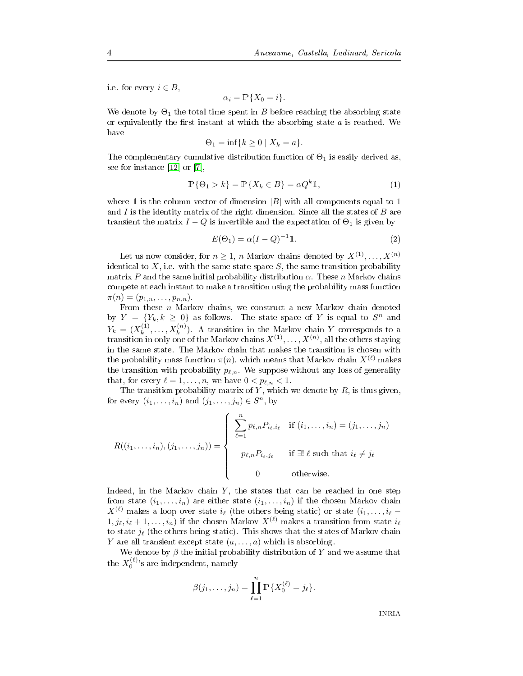i.e. for every  $i \in B$ ,

$$
\alpha_i = \mathbb{P}\{X_0 = i\}.
$$

We denote by  $\Theta_1$  the total time spent in  $B$  before reaching the absorbing state or equivalently the first instant at which the absorbing state  $a$  is reached. We have

$$
\Theta_1 = \inf\{k \ge 0 \mid X_k = a\}.
$$

e complementary cumulative distribution function of  $\Theta_1$  is easily derived as, - ;\$)℄ ;@℄

$$
\mathbb{P}\{\Theta_1 > k\} = \mathbb{P}\{X_k \in B\} = \alpha Q^k \mathbb{1},\tag{1}
$$

ere 1 is the column vector of dimension  $|B|$  with all components equal to 1 nd  $I$  is the identity matrix of the right dimension. Since all the states of  $B$  are nsient the matrix  $I-Q$  is invertible and the expectation of  $\Theta_1$  is given by

$$
E(\Theta_1) = \alpha (I - Q)^{-1} \mathbb{1}.
$$
\n(2)

Let us now consider, for  $n \geq 1$ , n Markov chains denoted by  $X^{(1)}, \ldots, X^{(n)}$ I to X, i.e. with the same state space  $S$ , the same transition probability trix  $P$  and the same initial probability distribution  $\alpha$ . These  $n$  Markov chains  $\mathbf{C}$  if  $\mathbf{C}$  if  $\mathbf{C}$  $\pi(n)=(p_{1,n},\ldots,p_{n,n}).$ 

From these  $n$  Markov chains, we construct a new Markov chain denoted by  $Y = \{Y_k, k \geq 0\}$  as follows. The state space of Y is equal to  $S^n$  and  $Y_k = (X_k^{(1)}, \ldots, X_k^{(n)})$ . A transition in the Markov chain Y corresponds to  $(x_k^{(1)},...,x_k^{(n)})$ . A transition in the Markov chain Y corresponds to a nsition in only one of the Markov chains  $X^{(1)},\ldots,X^{(n)},$  all the others staying e probability mass function  $\pi(n),$  which means that Markov chain  $X^{(\ell)}$  makes the transition with probability  $p_{\ell,n}$ . We suppose without any loss of generality t, for every  $\ell = 1, \ldots, n$ , we have  $0 < p_{\ell,n} < 1$ .

for every  $(i_1, \ldots, i_n)$  and  $(j_1, \ldots, j_n) \in S^n$ , by e transition probability matrix of  $Y,$  which we denote by  $R,$  is thus given,

$$
R((i_1,\ldots,i_n),(j_1,\ldots,j_n)) = \begin{cases} \sum_{\ell=1}^n p_{\ell,n} P_{i_\ell,i_\ell} & \text{if } (i_1,\ldots,i_n) = (j_1,\ldots,j_n) \\ p_{\ell,n} P_{i_\ell,j_\ell} & \text{if } \exists! \ \ell \text{ such that } i_\ell \neq j_\ell \\ 0 & \text{otherwise.} \end{cases}
$$

Indeed, in the Markov chain  $Y$ , the states that can be reached in one step from state  $(i_1,\ldots,i_n)$  are either state  $(i_1,\ldots,i_n)$  if the chosen Markov chain  $X^{(\ell)}$  makes a loop over state  $i_{\ell}$  (the others being static) or state  $(i_1,\ldots,i_{\ell}-1)$  $1, j_{\ell}, i_{\ell} + 1, \ldots, i_n$  if the chosen Markov  $X^{(\ell)}$  makes a transition from state  $i_{\ell}$ to state  $j_\ell$  (the others being static). This shows that the states of Markov chain Y are all transient except state  $(a, \ldots, a)$  which is absorbing.

We denote by  $\beta$  the initial probability distribution of  $Y$  and we assume that e  $X_0^{(\ell)}$ 's are independent, namely

$$
\beta(j_1,\ldots,j_n) = \prod_{\ell=1}^n \mathbb{P}\{X_0^{(\ell)} = j_\ell\}.
$$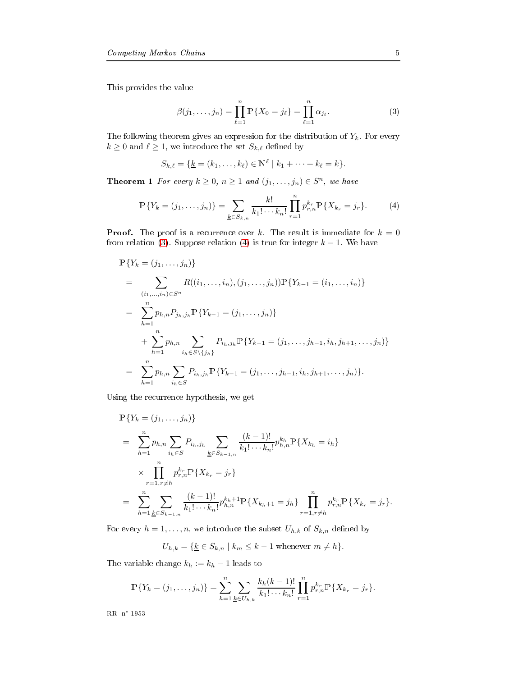<span id="page-7-0"></span>**E** and **E** 

$$
\beta(j_1, \dots, j_n) = \prod_{\ell=1}^n \mathbb{P}\{X_0 = j_\ell\} = \prod_{\ell=1}^n \alpha_{j_\ell}.
$$
 (3)

 $k \geq 0$  and  $\ell \geq 1$ , we introduce the set  $S_{k,\ell}$  defined by e following theorem gives an expression for the distribution of  $Y_k$ . For every

$$
S_{k,\ell} = \{ \underline{k} = (k_1, \ldots, k_\ell) \in \mathbb{N}^\ell \mid k_1 + \cdots + k_\ell = k \}.
$$

<span id="page-7-1"></span>**Theorem 1** For every  $k \geq 0$ ,  $n \geq 1$  and  $(j_1, \ldots, j_n) \in S^n$ , we have

$$
\mathbb{P}\{Y_k = (j_1, \dots, j_n)\} = \sum_{\underline{k} \in S_{k,n}} \frac{k!}{k_1! \cdots k_n!} \prod_{r=1}^n p_{r,n}^{k_r} \mathbb{P}\{X_{k_r} = j_r\}.
$$
 (4)

**Proof.** The proof is a recurrence over k. The result is immediate for  $k = 0$ from relation (3). Suppose relation (4) is true for integer  $k-1$ . We have

$$
\mathbb{P}\{Y_k = (j_1, \ldots, j_n)\}\
$$
\n
$$
= \sum_{(i_1, \ldots, i_n) \in S^n} R((i_1, \ldots, i_n), (j_1, \ldots, j_n)) \mathbb{P}\{Y_{k-1} = (i_1, \ldots, i_n)\}\
$$
\n
$$
= \sum_{h=1}^n p_{h,n} P_{j_h, j_h} \mathbb{P}\{Y_{k-1} = (j_1, \ldots, j_n)\}\
$$
\n
$$
+ \sum_{h=1}^n p_{h,n} \sum_{i_h \in S \setminus \{j_h\}} P_{i_h, j_h} \mathbb{P}\{Y_{k-1} = (j_1, \ldots, j_{h-1}, i_h, j_{h+1}, \ldots, j_n)\}\
$$
\n
$$
= \sum_{h=1}^n p_{h,n} \sum_{i_h \in S} P_{i_h, j_h} \mathbb{P}\{Y_{k-1} = (j_1, \ldots, j_{h-1}, i_h, j_{h+1}, \ldots, j_n)\}.
$$

- 0 / / / / 0

$$
\mathbb{P}\{Y_k = (j_1, \ldots, j_n)\}\
$$
\n
$$
= \sum_{h=1}^n p_{h,n} \sum_{i_h \in S} P_{i_h, j_h} \sum_{\underline{k} \in S_{k-1,n}} \frac{(k-1)!}{k_1! \cdots k_n!} p_{h,n}^{k_h} \mathbb{P}\{X_{k_h} = i_h\}
$$
\n
$$
\times \prod_{r=1, r \neq h}^n p_{r,n}^{k_r} \mathbb{P}\{X_{k_r} = j_r\}
$$
\n
$$
= \sum_{h=1}^n \sum_{\underline{k} \in S_{k-1,n}} \frac{(k-1)!}{k_1! \cdots k_n!} p_{h,n}^{k_h+1} \mathbb{P}\{X_{k_h+1} = j_h\} \prod_{r=1, r \neq h}^n p_{r,n}^{k_r} \mathbb{P}\{X_{k_r} = j_r\}.
$$

For every  $h = 1, \ldots, n$ , we introduce the subset  $U_{h,k}$  of  $S_{k,n}$  defined by

$$
U_{h,k} = \{ \underline{k} \in S_{k,n} \mid k_m \le k-1 \text{ whenever } m \ne h \}.
$$

The variable change  $k_h := k_h - 1$  leads to

$$
\mathbb{P}\{Y_k = (j_1, \ldots, j_n)\} = \sum_{h=1}^n \sum_{\underline{k} \in U_{h,k}} \frac{k_h(k-1)!}{k_1! \cdots k_n!} \prod_{r=1}^n p_{r,n}^{k_r} \mathbb{P}\{X_{k_r} = j_r\}.
$$

---- -- ----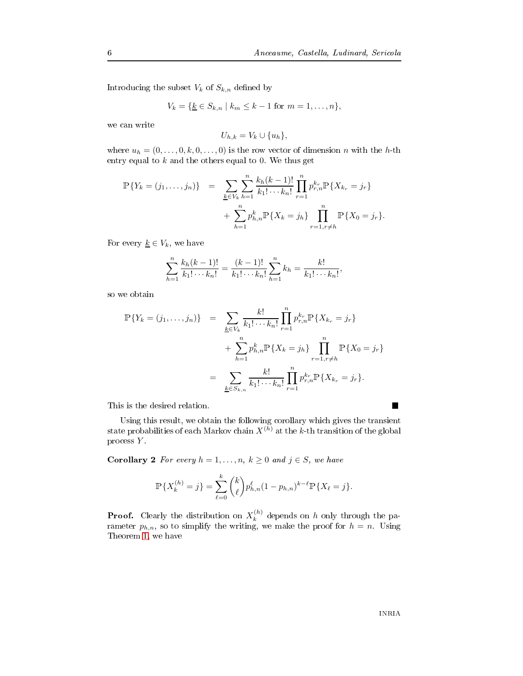Introducing the subset  $V_k$  of  $S_{k,n}$  defined by

$$
V_k = \{ \underline{k} \in S_{k,n} \mid k_m \le k-1 \text{ for } m = 1, \dots, n \},\
$$

$$
U_{h,k}=V_k\cup\{u_h\},\
$$

where  $u_h = (0, \ldots, 0, k, 0, \ldots, 0)$  is the row vector of dimension n with the h-th entry equal to  $k$  and the others equal to 0. We thus get

$$
\mathbb{P}\{Y_k = (j_1, \dots, j_n)\} = \sum_{\substack{k \in V_k}} \sum_{h=1}^n \frac{k_h(k-1)!}{k_1! \cdots k_n!} \prod_{r=1}^n p_{r,n}^{k_r} \mathbb{P}\{X_{k_r} = j_r\} + \sum_{h=1}^n p_{h,n}^k \mathbb{P}\{X_k = j_h\} \prod_{r=1, r \neq h}^n \mathbb{P}\{X_0 = j_r\}.
$$

For every  $\underline{k} \in V_k,$  we have

$$
\sum_{h=1}^{n} \frac{k_h(k-1)!}{k_1! \cdots k_n!} = \frac{(k-1)!}{k_1! \cdots k_n!} \sum_{h=1}^{n} k_h = \frac{k!}{k_1! \cdots k_n!},
$$

$$
\mathbb{P}\{Y_k = (j_1, \dots, j_n)\} = \sum_{\underline{k} \in V_k} \frac{k!}{k_1! \dots k_n!} \prod_{r=1}^n p_{r,n}^{k_r} \mathbb{P}\{X_{k_r} = j_r\} \n+ \sum_{h=1}^n p_{h,n}^k \mathbb{P}\{X_k = j_h\} \prod_{r=1, r \neq h}^n \mathbb{P}\{X_0 = j_r\} \n= \sum_{\underline{k} \in S_{k,n}} \frac{k!}{k_1! \dots k_n!} \prod_{r=1}^n p_{r,n}^{k_r} \mathbb{P}\{X_{k_r} = j_r\}.
$$

<u>0.0+ – 2.0+ – 2.0+ – 2.0+ – 2.0+ – 2.0+ – 2.0+ – 2.0+ – 2.0+ – 2.0+ – 2.0+ – 2.0+ – 2.0+ – 2.0+ – 2.0+ – 2.0+ – 2.0+ – 2.0+ – 2.0+ – 2.0+ – 2.0+ – 2.0+ – 2.0+ – 2.0+ – 2.0+ – 2.0+ – 2.0+ – 2.0+ – 2.0+ – 2.0+ – 2.0+ – 2.0+</u> state probabilities of each Markov chain  $X^{(h)}$  at the  $k$ -th transition of the global process Y.

**Corollary 2** For every  $h = 1, \ldots, n, k \geq 0$  and  $j \in S$ , we have

$$
\mathbb{P}\{X_k^{(h)}=j\} = \sum_{\ell=0}^k {k \choose \ell} p_{h,n}^{\ell} (1-p_{h,n})^{k-\ell} \mathbb{P}\{X_\ell=j\}.
$$

**Proof.** Clearly the distribution on  $X_k^{(h)}$  $\binom{n}{k}$  depends on h only through the parameter  $p_{h,n}$ , so to simplify the writing, we make the proof for  $h = n$ . Using -between the control of the control of the control of the control of the control of the control of the control of the control of the control of the control of the control of the control of the control of the control of the

П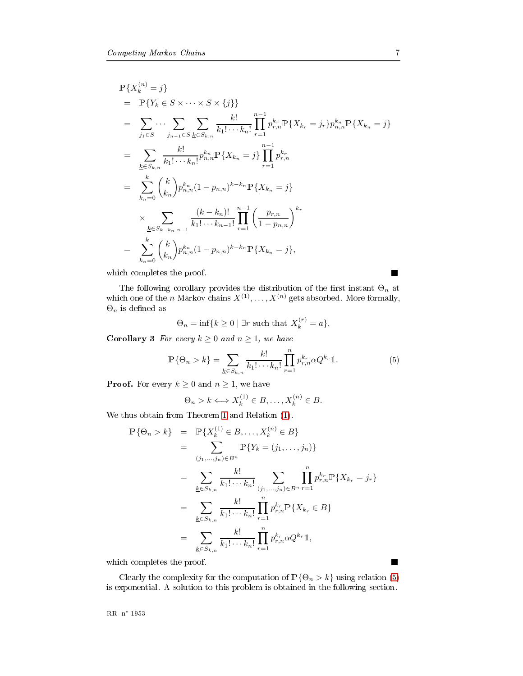$$
\mathbb{P}\{X_{k}^{(n)}=j\}
$$
\n
$$
= \mathbb{P}\{Y_{k} \in S \times \cdots \times S \times \{j\}\}
$$
\n
$$
= \sum_{j_{1} \in S} \cdots \sum_{j_{n-1} \in S} \sum_{\underline{k} \in S_{k,n}} \frac{k!}{k_{1}! \cdots k_{n}!} \prod_{r=1}^{n-1} p_{r,n}^{k_{r}} \mathbb{P}\{X_{k_{r}}=j_{r}\} p_{n,n}^{k_{n}} \mathbb{P}\{X_{k_{n}}=j\}
$$
\n
$$
= \sum_{\underline{k} \in S_{k,n}} \frac{k!}{k_{1}! \cdots k_{n}!} p_{n,n}^{k_{n}} \mathbb{P}\{X_{k_{n}}=j\} \prod_{r=1}^{n-1} p_{r,n}^{k_{r}}
$$
\n
$$
= \sum_{k_{n}=0}^{k} {k \choose k_{n}} p_{n,n}^{k_{n}} (1-p_{n,n})^{k-k_{n}} \mathbb{P}\{X_{k_{n}}=j\}
$$
\n
$$
\times \sum_{\underline{k} \in S_{k-k_{n},n-1}} \frac{(k-k_{n})!}{k_{1}! \cdots k_{n-1}!} \prod_{r=1}^{n-1} \left(\frac{p_{r,n}}{1-p_{n,n}}\right)^{k_{r}}
$$
\n
$$
= \sum_{k_{n}=0}^{k} {k \choose k_{n}} p_{n,n}^{k_{n}} (1-p_{n,n})^{k-k_{n}} \mathbb{P}\{X_{k_{n}}=j\},
$$

 - -/

The following corollary provides the distribution of the first instant  $\Theta_n$  at which one of the *n* Markov chains  $X^{(1)}, \ldots, X^{(n)}$  gets absorbed. More formally,  $\Theta_n$  is defined as

$$
\Theta_n = \inf \{ k \ge 0 \mid \exists r \text{ such that } X_k^{(r)} = a \}.
$$

<span id="page-9-0"></span>**Corollary 3** For every  $k \geq 0$  and  $n \geq 1$ , we have

$$
\mathbb{P}\{\Theta_n > k\} = \sum_{\underline{k} \in S_{k,n}} \frac{k!}{k_1! \cdots k_n!} \prod_{r=1}^n p_{r,n}^{k_r} \alpha Q^{k_r} \mathbb{1}.
$$
 (5)

**Proof.** For every  $k \geq 0$  and  $n \geq 1$ , we have

$$
\Theta_n > k \Longleftrightarrow X_k^{(1)} \in B, \dots, X_k^{(n)} \in B.
$$

 - - \$ A\$B/

$$
\mathbb{P}\{\Theta_n > k\} = \mathbb{P}\{X_k^{(1)} \in B, \dots, X_k^{(n)} \in B\}
$$
  
\n
$$
= \sum_{(j_1, \dots, j_n) \in B^n} \mathbb{P}\{Y_k = (j_1, \dots, j_n)\}
$$
  
\n
$$
= \sum_{\underline{k} \in S_{k,n}} \frac{k!}{k_1! \cdots k_n!} \sum_{(j_1, \dots, j_n) \in B^n} \prod_{r=1}^n p_{r,n}^{k_r} \mathbb{P}\{X_{k_r} = j_r\}
$$
  
\n
$$
= \sum_{\underline{k} \in S_{k,n}} \frac{k!}{k_1! \cdots k_n!} \prod_{r=1}^n p_{r,n}^{k_r} \mathbb{P}\{X_{k_r} \in B\}
$$
  
\n
$$
= \sum_{\underline{k} \in S_{k,n}} \frac{k!}{k_1! \cdots k_n!} \prod_{r=1}^n p_{r,n}^{k_r} \alpha Q^{k_r} \mathbb{1},
$$

 $\mathbf{r}$  and  $\mathbf{r}$  and  $\mathbf{r}$  and  $\mathbf{r}$ 

rly the complexity for the computation of  $\mathbb{P}\{\Theta_n > k\}$  using relation (5)  $\frac{1}{1}$  0

---- -- ----

 $\blacksquare$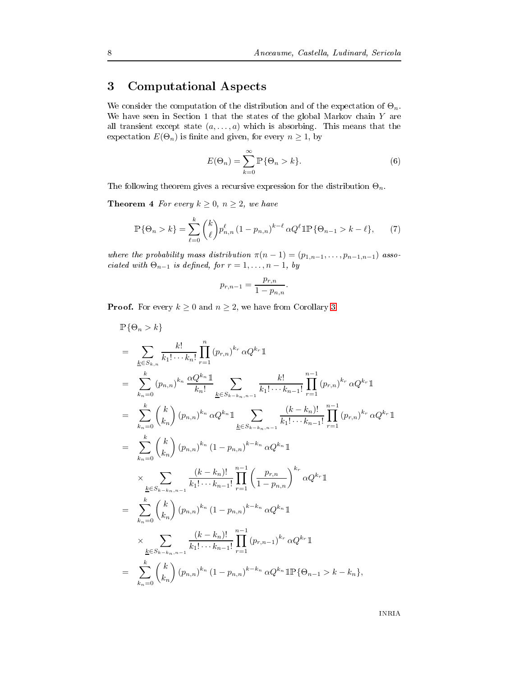### & 
- -

We consider the computation of the distribution and of the expectation of  $\Theta_n$ . We have seen in Section 1 that the states of the global Markov chain  $Y$  are If transient except state  $(a, \ldots, a)$  which is absorbing. This means that the expectation  $E(\Theta_n)$  is finite and given, for every  $n \geq 1$ , by

$$
E(\Theta_n) = \sum_{k=0}^{\infty} \mathbb{P}\{\Theta_n > k\}.
$$
 (6)

<span id="page-10-0"></span>e following theorem gives a recursive expression for the distribution  $\Theta_n$ .

**Theorem 4** For every  $k \geq 0, n \geq 2$ , we have

$$
\mathbb{P}\{\Theta_n > k\} = \sum_{\ell=0}^k {k \choose \ell} p_{n,n}^{\ell} (1 - p_{n,n})^{k-\ell} \alpha Q^{\ell} \mathbb{1} \mathbb{P}\{\Theta_{n-1} > k - \ell\},\tag{7}
$$

where the probability mass distribution  $\pi(n-1) = (p_{1,n-1}, \ldots, p_{n-1,n-1})$  associated with  $\Theta_{n-1}$  is defined, for  $r = 1, \ldots, n-1$ , by

$$
p_{r,n-1} = \frac{p_{r,n}}{1 - p_{n,n}}.
$$

**Proof.** For every  $k \geq 0$  and  $n \geq 2$ , we have from Corollary 3

$$
\mathbb{P}\{\Theta_{n} > k\}
$$
\n
$$
= \sum_{k \in S_{k,n}} \frac{k!}{k_1! \cdots k_n!} \prod_{r=1}^{n} (p_{r,n})^{k_r} \alpha Q^{k_r} \mathbb{1}
$$
\n
$$
= \sum_{k_n=0}^{k} (p_{n,n})^{k_n} \frac{\alpha Q^{k_n} \mathbb{1}}{k_n!} \sum_{k \in S_{k-k_n,n-1}} \frac{k!}{k_1! \cdots k_{n-1}!} \prod_{r=1}^{n-1} (p_{r,n})^{k_r} \alpha Q^{k_r} \mathbb{1}
$$
\n
$$
= \sum_{k_n=0}^{k} {k \choose k_n} (p_{n,n})^{k_n} \alpha Q^{k_n} \mathbb{1} \sum_{k \in S_{k-k_n,n-1}} \frac{(k-k_n)!}{k_1! \cdots k_{n-1}!} \prod_{r=1}^{n-1} (p_{r,n})^{k_r} \alpha Q^{k_r} \mathbb{1}
$$
\n
$$
= \sum_{k_n=0}^{k} {k \choose k_n} (p_{n,n})^{k_n} (1-p_{n,n})^{k-k_n} \alpha Q^{k_n} \mathbb{1}
$$
\n
$$
\times \sum_{k \in S_{k-k_n,n-1}} \frac{(k-k_n)!}{k_1! \cdots k_{n-1}!} \prod_{r=1}^{n-1} \left( \frac{p_{r,n}}{1-p_{n,n}} \right)^{k_r} \alpha Q^{k_r} \mathbb{1}
$$
\n
$$
= \sum_{k_n=0}^{k} {k \choose k_n} (p_{n,n})^{k_n} (1-p_{n,n})^{k-k_n} \alpha Q^{k_n} \mathbb{1}
$$
\n
$$
\times \sum_{k \in S_{k-k_n,n-1}} \frac{(k-k_n)!}{k_1! \cdots k_{n-1}!} \prod_{r=1}^{n-1} (p_{r,n-1})^{k_r} \alpha Q^{k_r} \mathbb{1}
$$
\n
$$
= \sum_{k_n=0}^{k} {k \choose k_n} (p_{n,n})^{k_n} (1-p_{n,n})^{k-k_n} \alpha Q^{k_n} \mathbb{1} \mathbb{P}\{\Theta_{n-1} > k - k_n\},
$$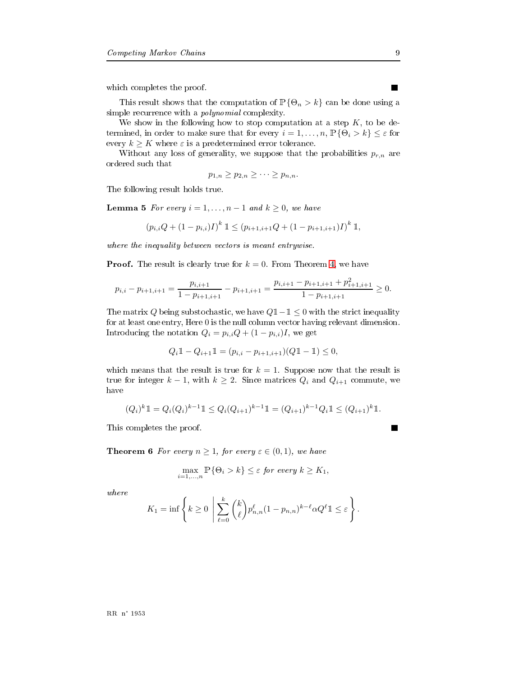0-- - -/

This result shows that the computation of  $\mathbb{P}\{\Theta_n > k\}$  can be done using a 0
- -- 
/

We show in the following how to stop computation at a step  $K$ , to be determined, in order to make sure that for every  $i=1,\ldots,n,$   $\mathbb{P}\{\Theta_i > k\} \leq \varepsilon$  for every  $k \geq K$  where  $\varepsilon$  is a predetermined error tolerance.

Without any loss of generality, we suppose that the probabilities  $p_{r,n}$  are

$$
p_{1,n} \ge p_{2,n} \ge \cdots \ge p_{n,n}.
$$

- -0+ - /

**Lemma 5** For every  $i = 1, \ldots, n - 1$  and  $k \geq 0$ , we have

$$
(p_{i,i}Q + (1 - p_{i,i})I)^k \mathbb{1} \le (p_{i+1,i+1}Q + (1 - p_{i+1,i+1})I)^k \mathbb{1},
$$

 - !

**Proof.** The result is clearly true for  $k = 0$ . From Theorem 4, we have

$$
p_{i,i} - p_{i+1,i+1} = \frac{p_{i,i+1}}{1 - p_{i+1,i+1}} - p_{i+1,i+1} = \frac{p_{i,i+1} - p_{i+1,i+1} + p_{i+1,i+1}^2}{1 - p_{i+1,i+1}} \ge 0.
$$

The matrix Q being substochastic, we have  $Q\mathbb{1}-\mathbb{1} \leq 0$  with the strict inequality for at least one entry, Here  $0$  is the null column vector having relevant dimension. Introducing the notation  $Q_i = p_{i,i}Q + (1 - p_{i,i})I$ , we get

$$
Q_i \mathbb{1} - Q_{i+1} \mathbb{1} = (p_{i,i} - p_{i+1,i+1})(Q \mathbb{1} - \mathbb{1}) \le 0,
$$

which means that the result is true for  $k = 1$ . Suppose now that the result is true for integer  $k-1$ , with  $k \geq 2$ . Since matrices  $Q_i$  and  $Q_{i+1}$  commute, we

$$
(Q_i)^k \mathbb{1} = Q_i(Q_i)^{k-1} \mathbb{1} \le Q_i(Q_{i+1})^{k-1} \mathbb{1} = (Q_{i+1})^{k-1} Q_i \mathbb{1} \le (Q_{i+1})^k \mathbb{1}.
$$

of the contract of the contract of the contract of the contract of the contract of the contract of the contract of the contract of the contract of the contract of the contract of the contract of the contract of the contrac

**Theorem 6** For every  $n \geq 1$ , for every  $\varepsilon \in (0,1)$ , we have

$$
\max_{i=1,\dots,n} \mathbb{P}\{\Theta_i > k\} \leq \varepsilon \text{ for every } k \geq K_1,
$$

where

$$
K_1 = \inf \left\{ k \ge 0 \mid \sum_{\ell=0}^k {k \choose \ell} p_{n,n}^{\ell} (1 - p_{n,n})^{k-\ell} \alpha Q^{\ell} \mathbb{1} \le \varepsilon \right\}.
$$

П

П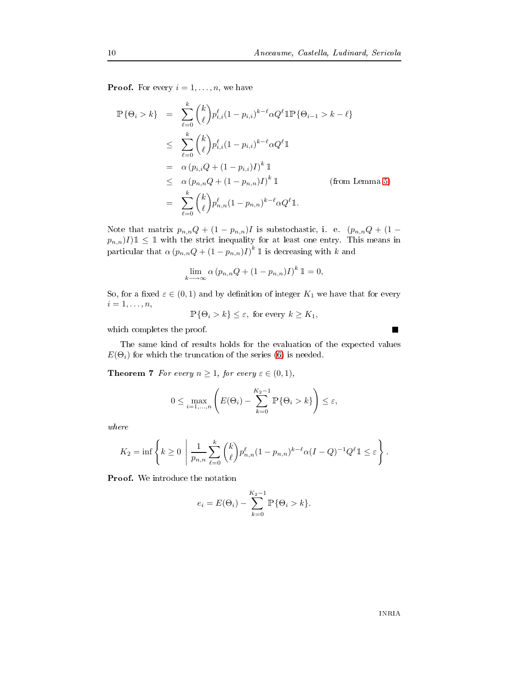**Proof.** For every  $i = 1, \ldots, n$ , we have

$$
\mathbb{P}\{\Theta_{i} > k\} = \sum_{\ell=0}^{k} {k \choose \ell} p_{i,i}^{\ell} (1 - p_{i,i})^{k-\ell} \alpha Q^{\ell} \mathbb{1} \mathbb{P} \{\Theta_{i-1} > k - \ell \}
$$
  
\n
$$
\leq \sum_{\ell=0}^{k} {k \choose \ell} p_{i,i}^{\ell} (1 - p_{i,i})^{k-\ell} \alpha Q^{\ell} \mathbb{1}
$$
  
\n
$$
= \alpha (p_{i,i} Q + (1 - p_{i,i}) I)^{k} \mathbb{1}
$$
  
\n
$$
\leq \alpha (p_{n,n} Q + (1 - p_{n,n}) I)^{k} \mathbb{1}
$$
 (from Lemma 5)  
\n
$$
= \sum_{\ell=0}^{k} {k \choose \ell} p_{n,n}^{\ell} (1 - p_{n,n})^{k-\ell} \alpha Q^{\ell} \mathbb{1}.
$$

Note that matrix  $p_{n,n}Q + (1-p_{n,n})I$  is substochastic, i. e.  $(p_{n,n}Q + (1-p_{n,n})I)$  $p_{n,n}$ ) $I$ ) $\mathbb{1} \leq \mathbb{1}$  with the strict inequality for at least one entry. This means in particular that  $\alpha\left(p_{n,n}Q+(1-p_{n,n})I\right)^k$   $\mathbb I$  is decreasing with  $k$  and

$$
\lim_{k \to \infty} \alpha (p_{n,n}Q + (1 - p_{n,n})I)^k \mathbb{1} = 0,
$$

So, for a fixed  $\varepsilon \in (0,1)$  and by definition of integer  $K_1$  we have that for every  $i = 1, \ldots, n$ ,

$$
\mathbb{P}\{\Theta_i > k\} \le \varepsilon, \text{ for every } k \ge K_1,
$$

 $\mathbf{r}$  -//  $\mathbf{r}$  -//  $\mathbf{r}$  -//  $\mathbf{r}$  -//

 $E(\Theta_i)$  for which the truncation of the series (6) is needed. . The contract of the contract of the contract of the contract of the contract of the contract of the contract of the contract of the contract of the contract of the contract of the contract of the contract of the contrac

**Theorem 7** For every  $n \geq 1$ , for every  $\varepsilon \in (0,1)$ ,

$$
0 \leq \max_{i=1,\dots,n} \left( E(\Theta_i) - \sum_{k=0}^{K_2-1} \mathbb{P}\{\Theta_i > k\} \right) \leq \varepsilon,
$$

 $where$ 

$$
K_2 = \inf \left\{ k \ge 0 \mid \frac{1}{p_{n,n}} \sum_{\ell=0}^k {k \choose \ell} p_{n,n}^{\ell} (1 - p_{n,n})^{k-\ell} \alpha (I - Q)^{-1} Q^{\ell} 1 \le \varepsilon \right\}.
$$

$$
e_i = E(\Theta_i) - \sum_{k=0}^{K_2 - 1} \mathbb{P}\{\Theta_i > k\}.
$$

■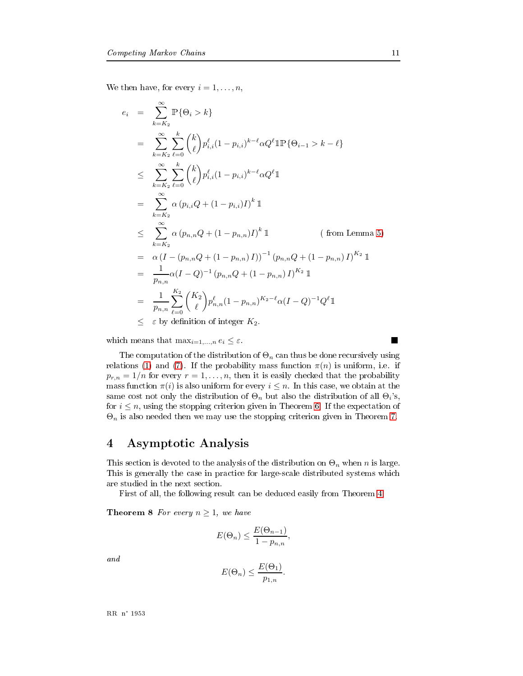∞

We then have, for every  $i = 1, \ldots, n$ ,

$$
e_{i} = \sum_{k=K_{2}} \mathbb{P}\{\Theta_{i} > k\}
$$
  
\n
$$
= \sum_{k=K_{2}}^{\infty} \sum_{\ell=0}^{k} {k \choose \ell} p_{i,i}^{\ell} (1 - p_{i,i})^{k-\ell} \alpha Q^{\ell} \mathbb{1} \mathbb{P}\{\Theta_{i-1} > k - \ell\}
$$
  
\n
$$
\leq \sum_{k=K_{2}}^{\infty} \sum_{\ell=0}^{k} {k \choose \ell} p_{i,i}^{\ell} (1 - p_{i,i})^{k-\ell} \alpha Q^{\ell} \mathbb{1}
$$
  
\n
$$
= \sum_{k=K_{2}}^{\infty} \alpha (p_{i,i}Q + (1 - p_{i,i})I)^{k} \mathbb{1}
$$
  
\n
$$
\leq \sum_{k=K_{2}}^{\infty} \alpha (p_{n,n}Q + (1 - p_{n,n})I)^{k} \mathbb{1}
$$
 (from Lemma 5)  
\n
$$
= \alpha (I - (p_{n,n}Q + (1 - p_{n,n})I))^{-1} (p_{n,n}Q + (1 - p_{n,n})I)^{K_{2}} \mathbb{1}
$$
  
\n
$$
= \frac{1}{p_{n,n}} \alpha (I - Q)^{-1} (p_{n,n}Q + (1 - p_{n,n})I)^{K_{2}} \mathbb{1}
$$
  
\n
$$
= \frac{1}{p_{n,n}} \sum_{\ell=0}^{K_{2}} {K_{2} \choose \ell} p_{n,n}^{\ell} (1 - p_{n,n})^{K_{2} - \ell} \alpha (I - Q)^{-1} Q^{\ell} \mathbb{1}
$$
  
\n
$$
\leq \epsilon
$$
 by definition of integer  $K_{2}$ .

which means that  $\max_{i=1,\dots,n} e_i \leq \varepsilon$ .

e computation of the distribution of  $\Theta_n$  can thus be done recursively using relations (1) and (7). If the probability mass function  $\pi(n)$  is uniform, i.e. if  $p_{r,n} = 1/n$  for every  $r = 1, \ldots, n$ , then it is easily checked that the probability ss function  $\pi(i)$  is also uniform for every  $i\leq n$ . In this case, we obtain at the me cost not only the distribution of  $\Theta_n$  but also the distribution of all  $\Theta_i$ 's, for  $i \leq n,$  using the stopping criterion given in Theorem 6. If the expectation of  $\Theta_n$  is also needed then we may use the stopping criterion given in Theorem 7.

### 4 Asymptotic Analysis

is section is devoted to the analysis of the distribution on  $\Theta_n$  when n is large. + - - 
 0-

> - - -0+ - - ?/

**Theorem 8** For every  $n \geq 1$ , we have

$$
E(\Theta_n) \le \frac{E(\Theta_{n-1})}{1 - p_{n,n}},
$$

and

$$
E(\Theta_n) \le \frac{E(\Theta_1)}{p_{1,n}}.
$$

п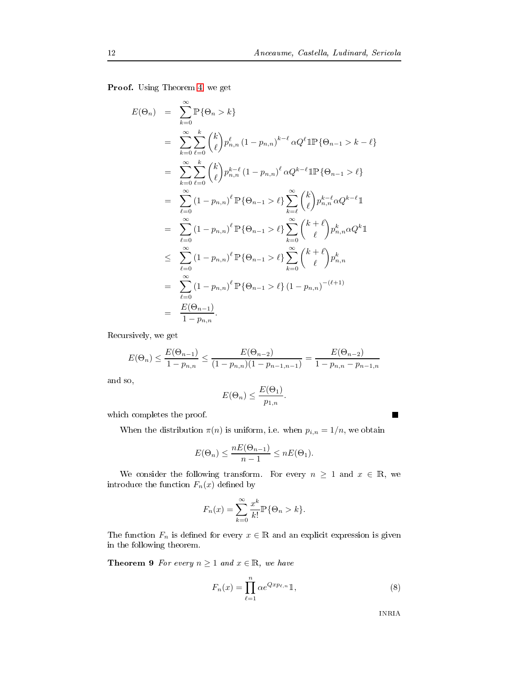C + - ? 0 +

$$
E(\Theta_n) = \sum_{k=0}^{\infty} \mathbb{P}\{\Theta_n > k\}
$$
  
\n
$$
= \sum_{k=0}^{\infty} \sum_{\ell=0}^{k} {k \choose \ell} p_{n,n}^{\ell} (1 - p_{n,n})^{k-\ell} \alpha Q^{\ell} \mathbb{1} \mathbb{P}\{\Theta_{n-1} > k - \ell\}
$$
  
\n
$$
= \sum_{k=0}^{\infty} \sum_{\ell=0}^{k} {k \choose \ell} p_{n,n}^{k-\ell} (1 - p_{n,n})^{\ell} \alpha Q^{k-\ell} \mathbb{1} \mathbb{P}\{\Theta_{n-1} > \ell\}
$$
  
\n
$$
= \sum_{\ell=0}^{\infty} (1 - p_{n,n})^{\ell} \mathbb{P}\{\Theta_{n-1} > \ell\} \sum_{k=\ell}^{\infty} {k \choose \ell} p_{n,n}^{k-\ell} \alpha Q^{k-\ell} \mathbb{1}
$$
  
\n
$$
= \sum_{\ell=0}^{\infty} (1 - p_{n,n})^{\ell} \mathbb{P}\{\Theta_{n-1} > \ell\} \sum_{k=0}^{\infty} {k+\ell \choose \ell} p_{n,n}^{k} \alpha Q^{k} \mathbb{1}
$$
  
\n
$$
\leq \sum_{\ell=0}^{\infty} (1 - p_{n,n})^{\ell} \mathbb{P}\{\Theta_{n-1} > \ell\} \sum_{k=0}^{\infty} {k+\ell \choose \ell} p_{n,n}^{k}
$$
  
\n
$$
= \sum_{\ell=0}^{\infty} (1 - p_{n,n})^{\ell} \mathbb{P}\{\Theta_{n-1} > \ell\} (1 - p_{n,n})^{-(\ell+1)}
$$
  
\n
$$
= \frac{E(\Theta_{n-1})}{1 - p_{n,n}}.
$$

Recursively, we get

$$
E(\Theta_n) \le \frac{E(\Theta_{n-1})}{1 - p_{n,n}} \le \frac{E(\Theta_{n-2})}{(1 - p_{n,n})(1 - p_{n-1,n-1})} = \frac{E(\Theta_{n-2})}{1 - p_{n,n} - p_{n-1,n}}
$$

and so,

$$
E(\Theta_n) \le \frac{E(\Theta_1)}{p_{1,n}}.
$$

 $\mathbf{r}$  and  $\mathbf{r}$  and  $\mathbf{r}$  and  $\mathbf{r}$ 

When the distribution  $\pi(n)$  is uniform, i.e. when  $p_{i,n} = 1/n$ , we obtain

$$
E(\Theta_n) \le \frac{nE(\Theta_{n-1})}{n-1} \le nE(\Theta_1).
$$

We consider the following transform. For every  $n \geq 1$  and  $x \in \mathbb{R}$ , we introduce the function  $F_n(x)$  defined by

$$
F_n(x) = \sum_{k=0}^{\infty} \frac{x^k}{k!} \mathbb{P}\{\Theta_n > k\}.
$$

The function  $F_n$  is defined for every  $x \in \mathbb{R}$  and an explicit expression is given - -0+ -/

**Theorem 9** For every  $n \geq 1$  and  $x \in \mathbb{R}$ , we have

$$
F_n(x) = \prod_{\ell=1}^n \alpha e^{Qx p_{\ell,n}} \mathbb{1},\tag{8}
$$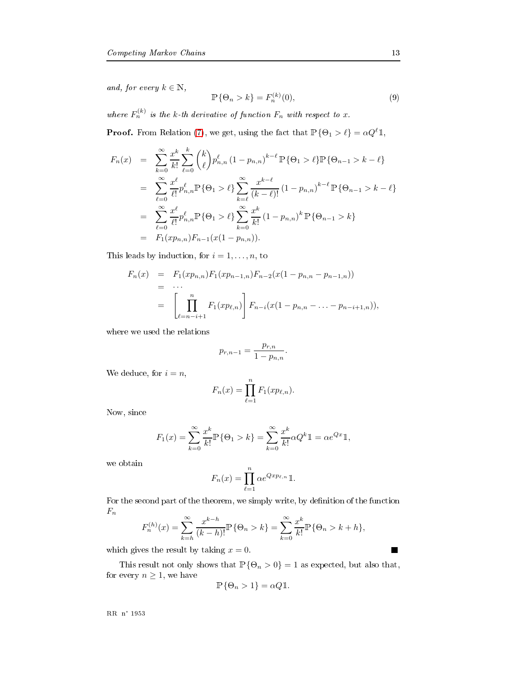and, for every  $k \in \mathbb{N}$ ,

$$
\mathbb{P}\{\Theta_n > k\} = F_n^{(k)}(0),\tag{9}
$$

where  $F_n^{(k)}$  is the k-th derivative of function  $F_n$  with respect to x.

**Proof.** From Relation (7), we get, using the fact that  $\mathbb{P}\{\Theta_1 > \ell\} = \alpha Q^{\ell} \mathbb{1}$ ,

$$
F_n(x) = \sum_{k=0}^{\infty} \frac{x^k}{k!} \sum_{\ell=0}^k {k \choose \ell} p_{n,n}^{\ell} (1 - p_{n,n})^{k-\ell} \mathbb{P}\{\Theta_1 > \ell\} \mathbb{P}\{\Theta_{n-1} > k - \ell\}
$$
  
\n
$$
= \sum_{\ell=0}^{\infty} \frac{x^{\ell}}{\ell!} p_{n,n}^{\ell} \mathbb{P}\{\Theta_1 > \ell\} \sum_{k=\ell}^{\infty} \frac{x^{k-\ell}}{(k-\ell)!} (1 - p_{n,n})^{k-\ell} \mathbb{P}\{\Theta_{n-1} > k - \ell\}
$$
  
\n
$$
= \sum_{\ell=0}^{\infty} \frac{x^{\ell}}{\ell!} p_{n,n}^{\ell} \mathbb{P}\{\Theta_1 > \ell\} \sum_{k=0}^{\infty} \frac{x^k}{k!} (1 - p_{n,n})^k \mathbb{P}\{\Theta_{n-1} > k\}
$$
  
\n
$$
= F_1(x p_{n,n}) F_{n-1}(x(1 - p_{n,n})).
$$

is leads by induction, for  $i = 1, \ldots, n$ , to

$$
F_n(x) = F_1(xp_{n,n})F_1(xp_{n-1,n})F_{n-2}(x(1-p_{n,n}-p_{n-1,n}))
$$
  
= ...  
= 
$$
\left[\prod_{\ell=n-i+1}^n F_1(xp_{\ell,n})\right]F_{n-i}(x(1-p_{n,n}-...-p_{n-i+1,n})),
$$

$$
p_{r,n-1} = \frac{p_{r,n}}{1 - p_{n,n}}.
$$

We deduce, for  $i = n$ ,

$$
F_n(x) = \prod_{\ell=1}^n F_1(x p_{\ell,n}).
$$

Now, since

$$
F_1(x) = \sum_{k=0}^{\infty} \frac{x^k}{k!} \mathbb{P} \{ \Theta_1 > k \} = \sum_{k=0}^{\infty} \frac{x^k}{k!} \alpha Q^k \mathbb{1} = \alpha e^{Qx} \mathbb{1},
$$

$$
F_n(x) = \prod_{\ell=1}^n \alpha e^{Qx p_{\ell,n}} \mathbb{1}.
$$

 $\mathbf{r}$  , and  $\mathbf{r}$  , and  $\mathbf{r}$  , and  $\mathbf{r}$  , and  $\mathbf{r}$  , and  $\mathbf{r}$  , and  $\mathbf{r}$  , and  $\mathbf{r}$  $F_n$ 

$$
F_n^{(h)}(x) = \sum_{k=h}^{\infty} \frac{x^{k-h}}{(k-h)!} \mathbb{P}\{\Theta_n > k\} = \sum_{k=0}^{\infty} \frac{x^k}{k!} \mathbb{P}\{\Theta_n > k+h\},\,
$$

gives the result by taking  $x = 0$ .

This result not only shows that  $\mathbb{P}\{\Theta_n > 0\} = 1$  as expected, but also that, for every  $n \geq 1$ , we have

$$
\mathbb{P}\{\Theta_n > 1\} = \alpha Q \mathbb{1}.
$$

---- -- ----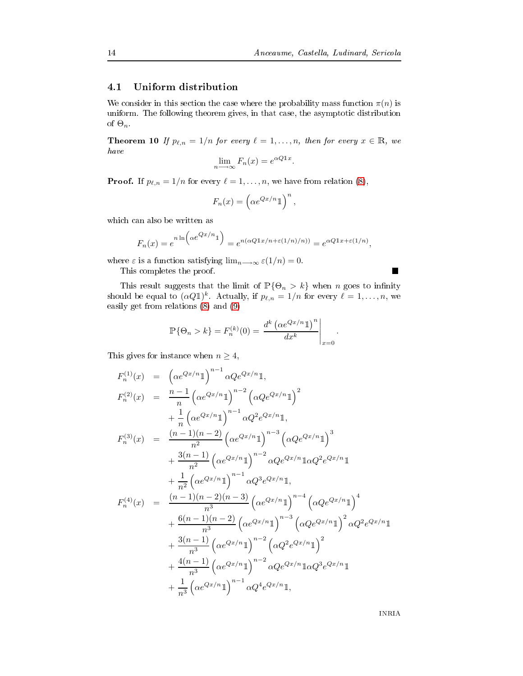#### Uniform distribution 4.1

We consider in this section the case where the probability mass function  $\pi(n)$  is uniform. The following theorem gives, in that case, the asymptotic distribution of  $\Theta_n$ .

<span id="page-16-0"></span>**Theorem 10** If  $p_{\ell,n} = 1/n$  for every  $\ell = 1, ..., n$ , then for every  $x \in \mathbb{R}$ , we have

$$
\lim_{n \to \infty} F_n(x) = e^{\alpha Q \mathbb{1} x}
$$

**Proof.** If  $p_{\ell,n} = 1/n$  for every  $\ell = 1, ..., n$ , we have from relation (8),

$$
F_n(x) = \left(\alpha e^{Qx/n} \mathbb{1}\right)^n,
$$

which can also be written as

$$
F_n(x) = e^{n \ln \left(\alpha e^{Qx/n} \mathbb{1}\right)} = e^{n(\alpha Q \mathbb{1}x/n + \varepsilon(1/n)/n))} = e^{\alpha Q \mathbb{1}x + \varepsilon(1/n)},
$$

where  $\varepsilon$  is a function satisfying  $\lim_{n\longrightarrow\infty} \varepsilon(1/n) = 0$ .

This completes the proof.

This result suggests that the limit of  $\mathbb{P}\{\Theta_n > k\}$  when *n* goes to infinity should be equal to  $(\alpha Q\mathbb{1})^k$ . Actually, if  $p_{\ell,n} = 1/n$  for every  $\ell = 1, \ldots, n$ , we easily get from relations  $(8)$  and  $(9)$ 

$$
\mathbb{P}\{\Theta_n > k\} = F_n^{(k)}(0) = \frac{d^k \left(\alpha e^{Qx/n} \mathbb{1}\right)^n}{dx^k}\bigg|_{x=0}
$$

This gives for instance when  $n \geq 4$ ,

$$
F_n^{(1)}(x) = \left(\alpha e^{Qx/n}1\right)^{n-1} \alpha Q e^{Qx/n}1,
$$
  
\n
$$
F_n^{(2)}(x) = \frac{n-1}{n} \left(\alpha e^{Qx/n}1\right)^{n-2} \left(\alpha Q e^{Qx/n}1\right)^2
$$
  
\n
$$
+ \frac{1}{n} \left(\alpha e^{Qx/n}1\right)^{n-1} \alpha Q^2 e^{Qx/n}1,
$$
  
\n
$$
F_n^{(3)}(x) = \frac{(n-1)(n-2)}{n^2} \left(\alpha e^{Qx/n}1\right)^{n-3} \left(\alpha Q e^{Qx/n}1\right)^3
$$
  
\n
$$
+ \frac{3(n-1)}{n^2} \left(\alpha e^{Qx/n}1\right)^{n-2} \alpha Q e^{Qx/n}1 \alpha Q^2 e^{Qx/n}1
$$
  
\n
$$
+ \frac{1}{n^2} \left(\alpha e^{Qx/n}1\right)^{n-1} \alpha Q^3 e^{Qx/n}1,
$$
  
\n
$$
F_n^{(4)}(x) = \frac{(n-1)(n-2)(n-3)}{n^3} \left(\alpha e^{Qx/n}1\right)^{n-4} \left(\alpha Q e^{Qx/n}1\right)^4
$$
  
\n
$$
+ \frac{6(n-1)(n-2)}{n^3} \left(\alpha e^{Qx/n}1\right)^{n-3} \left(\alpha Q e^{Qx/n}1\right)^2 \alpha Q^2 e^{Qx/n}1
$$
  
\n
$$
+ \frac{3(n-1)}{n^3} \left(\alpha e^{Qx/n}1\right)^{n-2} \left(\alpha Q^2 e^{Qx/n}1\right)^2
$$
  
\n
$$
+ \frac{4(n-1)}{n^3} \left(\alpha e^{Qx/n}1\right)^{n-2} \alpha Q e^{Qx/n}1 \alpha Q^3 e^{Qx/n}1
$$
  
\n
$$
+ \frac{1}{n^3} \left(\alpha e^{Qx/n}1\right)^{n-1} \alpha Q^4 e^{Qx/n}1,
$$

**INRIA**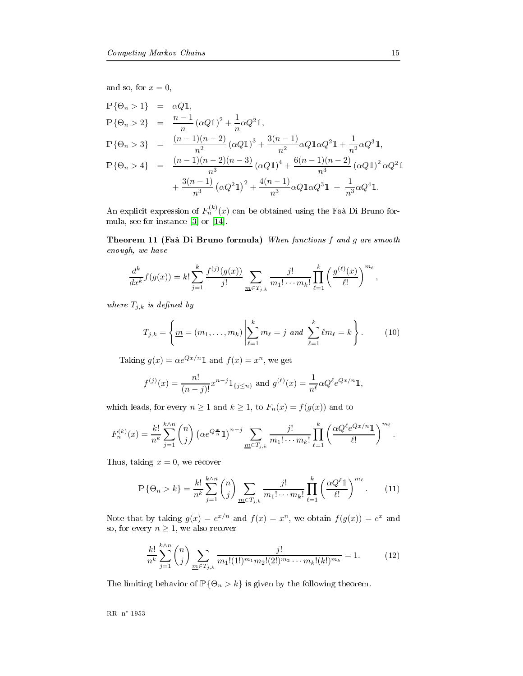and so, for  $x = 0$ ,

$$
\begin{array}{rcl}\n\mathbb{P}\{\Theta_n > 1\} & = & \alpha Q \mathbb{1}, \\
\mathbb{P}\{\Theta_n > 2\} & = & \frac{n-1}{n} \left( \alpha Q \mathbb{1} \right)^2 + \frac{1}{n} \alpha Q^2 \mathbb{1}, \\
\mathbb{P}\{\Theta_n > 3\} & = & \frac{(n-1)(n-2)}{n^2} \left( \alpha Q \mathbb{1} \right)^3 + \frac{3(n-1)}{n^2} \alpha Q \mathbb{1} \alpha Q^2 \mathbb{1} + \frac{1}{n^2} \alpha Q^3 \mathbb{1}, \\
\mathbb{P}\{\Theta_n > 4\} & = & \frac{(n-1)(n-2)(n-3)}{n^3} \left( \alpha Q \mathbb{1} \right)^4 + \frac{6(n-1)(n-2)}{n^3} \left( \alpha Q \mathbb{1} \right)^2 \alpha Q^2 \mathbb{1} \\
& & + \frac{3(n-1)}{n^3} \left( \alpha Q^2 \mathbb{1} \right)^2 + \frac{4(n-1)}{n^3} \alpha Q \mathbb{1} \alpha Q^3 \mathbb{1} + \frac{1}{n^3} \alpha Q^4 \mathbb{1}.\n\end{array}
$$

An explicit expression of  $F_n^{(k)}(x)$  can be obtained using the Faà Di Bruno formula, see for instance  $[3]$  or  $[14]$ .

Theorem 11 (Faà Di Bruno formula) When functions  $f$  and  $g$  are smooth - 

$$
\frac{d^k}{dx^k}f(g(x)) = k! \sum_{j=1}^k \frac{f^{(j)}(g(x))}{j!} \sum_{m \in T_{j,k}} \frac{j!}{m_1! \cdots m_k!} \prod_{\ell=1}^k \left(\frac{g^{(\ell)}(x)}{\ell!}\right)^{m_\ell},
$$

where  $T_{j,k}$  is defined by

$$
T_{j,k} = \left\{ \underline{m} = (m_1, \dots, m_k) \middle| \sum_{\ell=1}^k m_\ell = j \text{ and } \sum_{\ell=1}^k \ell m_\ell = k \right\}.
$$
 (10)

Taking  $g(x) = \alpha e^{Qx/n} \mathbb{1}$  and  $f(x) = x^n$ , we get

$$
f^{(j)}(x) = \frac{n!}{(n-j)!} x^{n-j} 1_{\{j \le n\}} \text{ and } g^{(\ell)}(x) = \frac{1}{n^{\ell}} \alpha Q^{\ell} e^{Qx/n} 1,
$$

which leads, for every  $n \ge 1$  and  $k \ge 1$ , to  $F_n(x) = f(g(x))$  and to

$$
F_n^{(k)}(x) = \frac{k!}{n^k} \sum_{j=1}^{k \wedge n} \binom{n}{j} \left( \alpha e^{Q \frac{x}{n}} 1 \right)^{n-j} \sum_{m \in T_{j,k}} \frac{j!}{m_1! \cdots m_k!} \prod_{\ell=1}^k \left( \frac{\alpha Q^\ell e^{Qx/n} 1}{\ell!} \right)^{m_\ell}.
$$

us, taking  $x = 0$ , we recover

$$
\mathbb{P}\{\Theta_n > k\} = \frac{k!}{n^k} \sum_{j=1}^{k \wedge n} \binom{n}{j} \sum_{\underline{m} \in T_{j,k}} \frac{j!}{m_1! \cdots m_k!} \prod_{\ell=1}^k \left(\frac{\alpha Q^{\ell} \mathbb{1}}{\ell!}\right)^{m_\ell}.
$$
 (11)

Note that by taking  $g(x) = e^{x/n}$  and  $f(x) = x^n$ , we obtain  $f(g(x)) = e^x$  and so, for every  $n\geq 1,$  we also recover

$$
\frac{k!}{n^k} \sum_{j=1}^{k \wedge n} \binom{n}{j} \sum_{\underline{m} \in T_{j,k}} \frac{j!}{m_1!(1!)^{m_1} m_2!(2!)^{m_2} \cdots m_k!(k!)^{m_k}} = 1.
$$
 (12)

<span id="page-17-0"></span>The limiting behavior of  $\mathbb{P}\{\Theta_n > k\}$  is given by the following theorem.

---- -- ----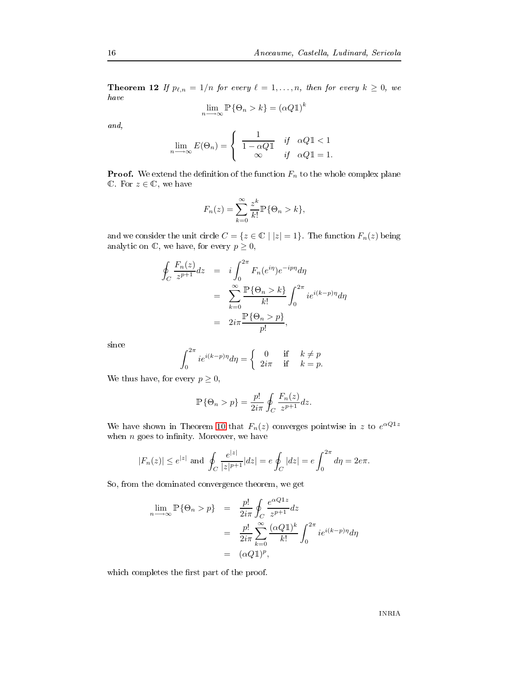**Theorem 12** If  $p_{\ell,n} = 1/n$  for every  $\ell = 1,\ldots,n,$  then for every  $k \geq 0,$  we have

$$
\lim_{n \to \infty} \mathbb{P}\{\Theta_n > k\} = (\alpha Q \mathbb{1})^k
$$

and,

$$
\lim_{n \to \infty} E(\Theta_n) = \begin{cases} \frac{1}{1 - \alpha Q \mathbb{1}} & \text{if } \alpha Q \mathbb{1} < 1 \\ \infty & \text{if } \alpha Q \mathbb{1} = 1. \end{cases}
$$

**Proof.** We extend the definition of the function  $F_n$  to the whole complex plane  $\mathbb{C}$ . For  $z \in \mathbb{C}$ , we have

$$
F_n(z) = \sum_{k=0}^{\infty} \frac{z^k}{k!} \mathbb{P}\{\Theta_n > k\},\,
$$

and we consider the unit circle  $C = \{z \in \mathbb{C} \mid |z| = 1\}$  . The function  $F_n(z)$  being analytic on  $\mathbb C,$  we have, for every  $p\geq 0,$ 

$$
\oint_C \frac{F_n(z)}{z^{p+1}} dz = i \int_0^{2\pi} F_n(e^{i\eta}) e^{-ip\eta} d\eta
$$
\n
$$
= \sum_{k=0}^{\infty} \frac{\mathbb{P}\{\Theta_n > k\}}{k!} \int_0^{2\pi} i e^{i(k-p)\eta} d\eta
$$
\n
$$
= 2i\pi \frac{\mathbb{P}\{\Theta_n > p\}}{p!},
$$

since

$$
\int_0^{2\pi} i e^{i(k-p)\eta} d\eta = \begin{cases} 0 & \text{if } k \neq p \\ 2i\pi & \text{if } k = p. \end{cases}
$$

We thus have, for every  $p \geq 0$ ,

$$
\mathbb{P}\{\Theta_n > p\} = \frac{p!}{2i\pi} \oint_C \frac{F_n(z)}{z^{p+1}} dz.
$$

We have shown in Theorem 10 that  $F_n(z)$  converges pointwise in z to  $e^{\alpha Q \cdot 1 z}$ when  $n$  goes to infinity. Moreover, we have

$$
|F_n(z)| \le e^{|z|}
$$
 and  $\oint_C \frac{e^{|z|}}{|z|^{p+1}}|dz| = e \oint_C |dz| = e \int_0^{2\pi} d\eta = 2e\pi$ .

- - + - 0 +

$$
\lim_{n \to \infty} \mathbb{P}\{\Theta_n > p\} = \frac{p!}{2i\pi} \oint_C \frac{e^{\alpha Q \mathbb{1} z}}{z^{p+1}} dz
$$
  
= 
$$
\frac{p!}{2i\pi} \sum_{k=0}^{\infty} \frac{(\alpha Q \mathbb{1})^k}{k!} \int_0^{2\pi} i e^{i(k-p)\eta} d\eta
$$
  
= 
$$
(\alpha Q \mathbb{1})^p,
$$

0-- - 2 - - -/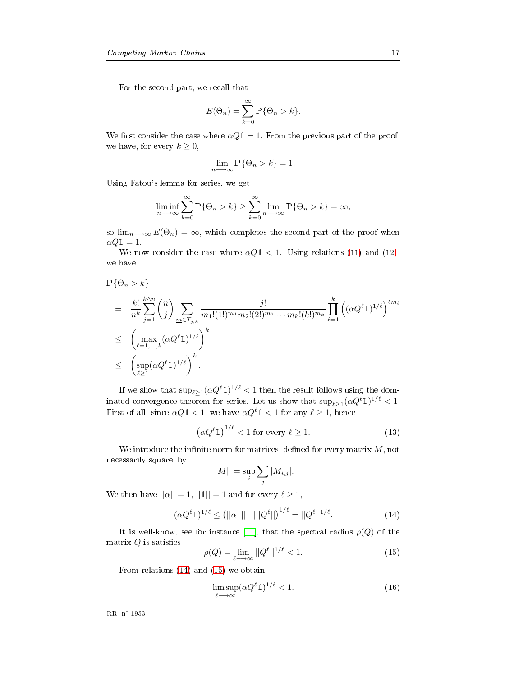$\mathbf{r} = \mathbf{r}$  , and the contract of  $\mathbf{r} = \mathbf{r}$  , and the contract of  $\mathbf{r} = \mathbf{r}$ 

$$
E(\Theta_n) = \sum_{k=0}^{\infty} \mathbb{P}\{\Theta_n > k\}.
$$

We first consider the case where  $\alpha Q \mathbb{1} = 1$ . From the previous part of the proof, we have, for every  $k \geq 0$ ,

$$
\lim_{n \to \infty} \mathbb{P}\{\Theta_n > k\} = 1.
$$

C + > 9 - 0 +

$$
\liminf_{n \to \infty} \sum_{k=0}^{\infty} \mathbb{P}\{\Theta_n > k\} \ge \sum_{k=0}^{\infty} \lim_{n \to \infty} \mathbb{P}\{\Theta_n > k\} = \infty,
$$

so  $\lim_{n\longrightarrow\infty}E(\Theta_n)=\infty$ , which completes the second part of the proof when  $\alpha Q \mathbb{1} = 1.$ 

We now consider the case where  $\alpha Q \mathbb{1} < 1$ . Using relations (11) and (12), we have

$$
\mathbb{P}\{\Theta_n > k\}
$$
\n
$$
= \frac{k!}{n^k} \sum_{j=1}^{k \wedge n} \binom{n}{j} \sum_{\underline{m} \in T_{j,k}} \frac{j!}{m_1!(1!)^{m_1} m_2!(2!)^{m_2} \cdots m_k!(k!)^{m_k}} \prod_{\ell=1}^k \left( (\alpha Q^{\ell} \mathbb{1})^{1/\ell} \right)^{\ell m_{\ell}}
$$
\n
$$
\leq \left( \max_{\ell=1,\dots,k} (\alpha Q^{\ell} \mathbb{1})^{1/\ell} \right)^k
$$
\n
$$
\leq \left( \sup_{\ell \geq 1} (\alpha Q^{\ell} \mathbb{1})^{1/\ell} \right)^k.
$$

If we show that  $\sup_{\ell \geq 1} (\alpha Q^\ell 1)^{1/\ell} < 1$  then the result follows using the domted convergence theorem for series. Let us show that  $\sup_{\ell \geq 1} (\alpha Q^{\ell} \mathbb{1})^{1/\ell} < 1$ . First of all, since  $\alpha Q \mathbb{1} < 1$ , we have  $\alpha Q^{\ell} \mathbb{1} < 1$  for any  $\ell \ge 1$ , hence

<span id="page-19-0"></span>
$$
\left(\alpha Q^{\ell}1\right)^{1/\ell} < 1 \text{ for every } \ell \ge 1. \tag{13}
$$

We introduce the infinite norm for matrices, defined for every matrix  $M$ , not 

$$
||M|| = \sup_{i} \sum_{j} |M_{i,j}|.
$$

We then have  $||\alpha|| = 1$ ,  $||1|| = 1$  and for every  $\ell \geq 1$ ,

$$
(\alpha Q^{\ell} \mathbb{1})^{1/\ell} \le (||\alpha|| ||\mathbb{1}|| ||Q^{\ell}||)^{1/\ell} = ||Q^{\ell}||^{1/\ell}.
$$
 (14)

It is well-know, see for instance [11], that the spectral radius  $\rho(Q)$  of the trix  $Q$  is satisfies

$$
\rho(Q) = \lim_{\ell \to \infty} ||Q^{\ell}||^{1/\ell} < 1. \tag{15}
$$

 $\lambda$  and  $\lambda$  and  $\lambda$  and  $\lambda$  and  $\lambda$  and  $\lambda$  and  $\lambda$  and  $\lambda$  and  $\lambda$  and  $\lambda$ 

$$
\limsup_{\ell \to \infty} (\alpha Q^{\ell} \mathbb{1})^{1/\ell} < 1. \tag{16}
$$

---- -- ----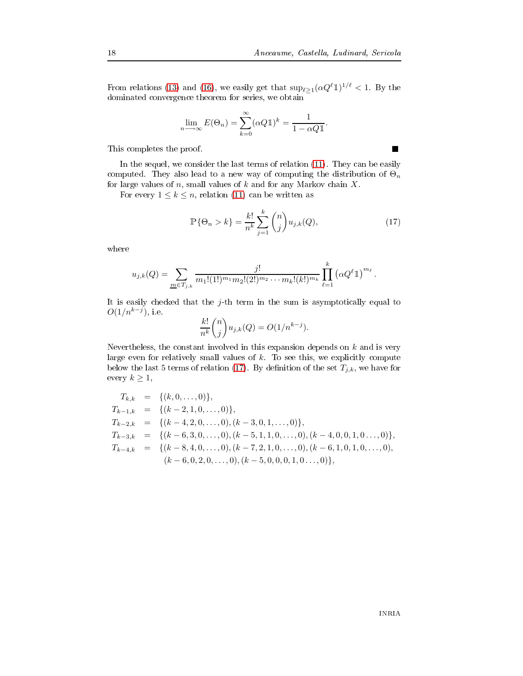$\blacksquare$ 

From relations (13) and (16), we easily get that  $\sup_{\ell \geq 1} (\alpha Q^{\ell} \mathbb{1})^{1/\ell} < 1$ . By the + - - 0

$$
\lim_{n \to \infty} E(\Theta_n) = \sum_{k=0}^{\infty} (\alpha Q \mathbb{1})^k = \frac{1}{1 - \alpha Q \mathbb{1}}.
$$

 $\mathbf{r}$  -//  $\mathbf{r}$  -//  $\mathbf{r}$  -//  $\mathbf{r}$  -//  $\mathbf{r}$  -//  $\mathbf{r}$  -//  $\mathbf{r}$  -//  $\mathbf{r}$  -//  $\mathbf{r}$  -//  $\mathbf{r}$  -//  $\mathbf{r}$  -//  $\mathbf{r}$  -//  $\mathbf{r}$  -//  $\mathbf{r}$  -//  $\mathbf{r}$  -//  $\mathbf{r}$  -//  $\mathbf{r}$  -//

 $\blacksquare$  ) and the contract of the contract of the contract of the contract of the contract of the contract of the contract of the contract of the contract of the contract of the contract of the contract of the contract of computed. They also lead to a new way of computing the distribution of  $\Theta_n$ for large values of  $n,$  small values of  $k$  and for any Markov chain  $X.$ 

For every  $1 \leq k \leq n$ , relation (11) can be written as

$$
\mathbb{P}\{\Theta_n > k\} = \frac{k!}{n^k} \sum_{j=1}^k \binom{n}{j} u_{j,k}(Q),\tag{17}
$$

where

$$
u_{j,k}(Q) = \sum_{\underline{m} \in T_{j,k}} \frac{j!}{m_1!(1!)^{m_1}m_2!(2!)^{m_2}\cdots m_k!(k!)^{m_k}} \prod_{\ell=1}^k (\alpha Q^{\ell}1)^{m_{\ell}}.
$$

It is easily checked that the  $j$ -th term in the sum is asymptotically equal to  $O(1/n^{k-j})$ , i.e.

$$
\frac{k!}{n^k} \binom{n}{j} u_{j,k}(Q) = O(1/n^{k-j}).
$$

eless, the constant involved in this expansion depends on  $k$  and is very rge even for relatively small values of  $k$ . To see this, we explicitly compute below the last 5 terms of relation (17). By definition of the set  $T_{j,k},$  we have for every  $k \geq 1$ ,

$$
T_{k,k} = \{(k, 0, \ldots, 0)\},
$$
  
\n
$$
T_{k-1,k} = \{(k-2, 1, 0, \ldots, 0)\},
$$
  
\n
$$
T_{k-2,k} = \{(k-4, 2, 0, \ldots, 0), (k-3, 0, 1, \ldots, 0)\},
$$
  
\n
$$
T_{k-3,k} = \{(k-6, 3, 0, \ldots, 0), (k-5, 1, 1, 0, \ldots, 0), (k-4, 0, 0, 1, 0 \ldots, 0)\},
$$
  
\n
$$
T_{k-4,k} = \{(k-8, 4, 0, \ldots, 0), (k-7, 2, 1, 0, \ldots, 0), (k-6, 1, 0, 1, 0, \ldots, 0), (k-6, 0, 2, 0, \ldots, 0), (k-5, 0, 0, 0, 1, 0 \ldots, 0)\},
$$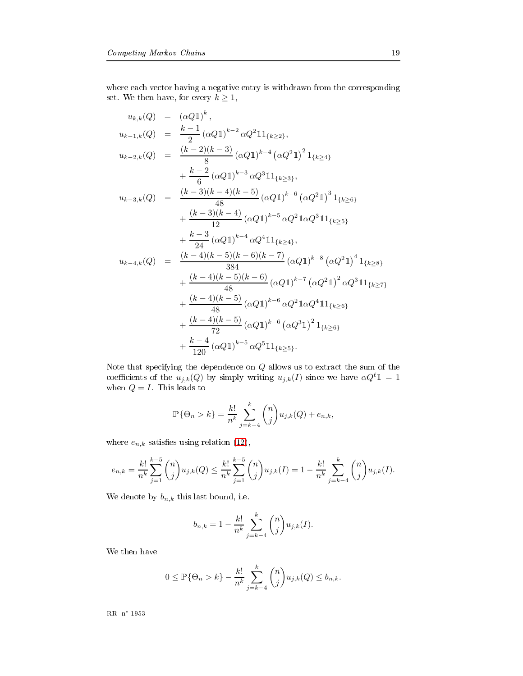0- - - + + 0
- 0 - - + set. We then have, for every  $k \geq 1$ ,

$$
u_{k,k}(Q) = (\alpha Q1)^{k},
$$
  
\n
$$
u_{k-1,k}(Q) = \frac{k-1}{2} (\alpha Q1)^{k-2} \alpha Q^{2} 11_{\{k \ge 2\}},
$$
  
\n
$$
u_{k-2,k}(Q) = \frac{(k-2)(k-3)}{8} (\alpha Q1)^{k-4} (\alpha Q^{2}1)^{2} 1_{\{k \ge 4\}}
$$
  
\n
$$
+ \frac{k-2}{6} (\alpha Q1)^{k-3} \alpha Q^{3} 11_{\{k \ge 3\}},
$$
  
\n
$$
u_{k-3,k}(Q) = \frac{(k-3)(k-4)(k-5)}{48} (\alpha Q1)^{k-6} (\alpha Q^{2}1)^{3} 1_{\{k \ge 6\}}
$$
  
\n
$$
+ \frac{(k-3)(k-4)}{12} (\alpha Q1)^{k-5} \alpha Q^{2} 1 \alpha Q^{3} 11_{\{k \ge 5\}}
$$
  
\n
$$
+ \frac{k-3}{24} (\alpha Q1)^{k-4} \alpha Q^{4} 11_{\{k \ge 4\}},
$$
  
\n
$$
u_{k-4,k}(Q) = \frac{(k-4)(k-5)(k-6)(k-7)}{384} (\alpha Q1)^{k-8} (\alpha Q^{2}1)^{4} 1_{\{k \ge 8\}}
$$
  
\n
$$
+ \frac{(k-4)(k-5)(k-6)}{48} (\alpha Q1)^{k-7} (\alpha Q^{2}1)^{2} \alpha Q^{3} 11_{\{k \ge 7\}}
$$
  
\n
$$
+ \frac{(k-4)(k-5)}{48} (\alpha Q1)^{k-6} \alpha Q^{2} 1 \alpha Q^{4} 11_{\{k \ge 6\}}
$$
  
\n
$$
+ \frac{(k-4)(k-5)}{72} (\alpha Q1)^{k-6} (\alpha Q^{3}1)^{2} 1_{\{k \ge 6\}}
$$
  
\n
$$
+ \frac{k-4}{120} (\alpha Q1)^{k-5} \alpha Q^{5} 11_{\{k \ge 5\}}.
$$

Note that specifying the dependence on  $Q$  allows us to extract the sum of the coefficients of the  $u_{j,k}(Q)$  by simply writing  $u_{j,k}(I)$  since we have  $\alpha Q^{\ell} \mathbb{1} = 1$ when  $Q = I$ . This leads to

$$
\mathbb{P}\{\Theta_n > k\} = \frac{k!}{n^k} \sum_{j=k-4}^k {n \choose j} u_{j,k}(Q) + e_{n,k},
$$

where  $e_{n,k}$  satisfies using relation (12),

$$
e_{n,k} = \frac{k!}{n^k} \sum_{j=1}^{k-5} \binom{n}{j} u_{j,k}(Q) \le \frac{k!}{n^k} \sum_{j=1}^{k-5} \binom{n}{j} u_{j,k}(I) = 1 - \frac{k!}{n^k} \sum_{j=k-4}^k \binom{n}{j} u_{j,k}(I).
$$

We denote by  $b_{n,k}$  this last bound, i.e.

$$
b_{n,k} = 1 - \frac{k!}{n^k} \sum_{j=k-4}^k {n \choose j} u_{j,k}(I).
$$

$$
0 \leq \mathbb{P}\{\Theta_n > k\} - \frac{k!}{n^k} \sum_{j=k-4}^k \binom{n}{j} u_{j,k}(Q) \leq b_{n,k}.
$$

---- -- ----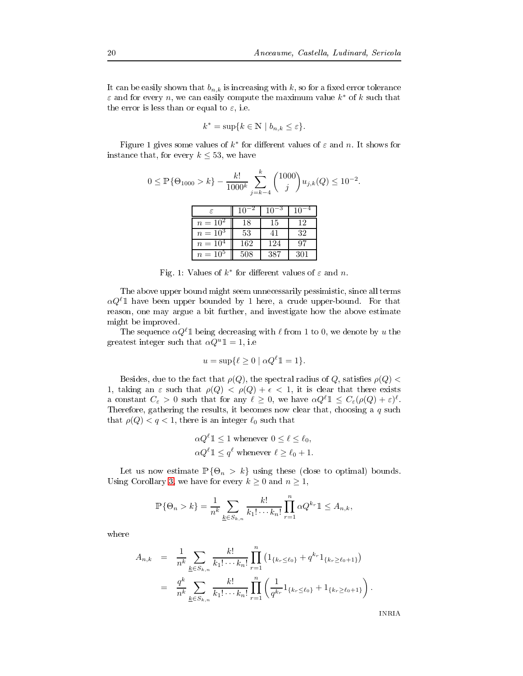It can be easily shown that  $b_{n,k}$  is increasing with  $k,$  so for a fixed error tolerance  $\varepsilon$  and for every n, we can easily compute the maximum value  $k^*$  of k such that e error is less than or equal to  $\varepsilon$ , i.e.

$$
k^* = \sup\{k \in \mathbb{N} \mid b_{n,k} \le \varepsilon\}.
$$

Figure 1 gives some values of  $k^*$  for different values of  $\varepsilon$  and  $n$ . It shows for nce that, for every  $k \leq 53$ , we have

$$
0 \le \mathbb{P}\{\Theta_{1000} > k\} - \frac{k!}{1000^k} \sum_{j=k-4}^k {1000 \choose j} u_{j,k}(Q) \le 10^{-2}.
$$

|              |     | 10  |     |
|--------------|-----|-----|-----|
| $n = 10^2$   | 18  | 15  | 12  |
| $n = 10^3$   | 53  | 41  | 32  |
| $n = 10^{4}$ | 162 | 124 | 97  |
| $n = 10^{5}$ | 508 | 387 | 301 |

Fig. 1: Values of  $k^*$  for different values of  $\varepsilon$  and n.

 +-  $\alpha Q^{\ell} \mathbb{1}$  have been upper bounded by 1 here, a crude upper-bound. For that + - 
+ -0 might be improved.

The sequence  $\alpha Q^{\ell} \mathbb{1}$  being decreasing with  $\ell$  from 1 to 0, we denote by u the test integer such that  $\alpha Q^u \mathbb{1} = 1$ , i.e

$$
u = \sup\{\ell \ge 0 \mid \alpha Q^{\ell} \mathbb{1} = 1\}.
$$

Besides, due to the fact that  $\rho(Q),$  the spectral radius of  $Q,$  satisfies  $\rho(Q)<$ 1, taking an  $\varepsilon$  such that  $\rho(Q) < \rho(Q) + \epsilon < 1$ , it is clear that there exists constant  $C_{\varepsilon} > 0$  such that for any  $\ell \geq 0$ , we have  $\alpha Q^{\ell} \mathbb{1} \leq C_{\varepsilon}(\rho(Q) + \varepsilon)^{\ell}$ . erefore, gathering the results, it becomes now clear that, choosing a  $q$  such t  $\rho(Q) < q < 1$ , there is an integer  $\ell_0$  such that

$$
\alpha Q^{\ell} \mathbb{1} \le 1
$$
 whenever  $0 \le \ell \le \ell_0$ ,  

$$
\alpha Q^{\ell} \mathbb{1} \le q^{\ell}
$$
 whenever  $\ell \ge \ell_0 + 1$ .

Let us now estimate  $\mathbb{P}\{\Theta_n > k\}$  using these (close to optimal) bounds. Using Corollary 3, we have for every  $k \geq 0$  and  $n \geq 1$ ,

$$
\mathbb{P}\{\Theta_n > k\} = \frac{1}{n^k} \sum_{\underline{k} \in S_{k,n}} \frac{k!}{k_1! \cdots k_n!} \prod_{r=1}^n \alpha Q^{k_r} \mathbb{1} \leq A_{n,k},
$$

where

$$
A_{n,k} = \frac{1}{n^k} \sum_{\underline{k} \in S_{k,n}} \frac{k!}{k_1! \cdots k_n!} \prod_{r=1}^n (1_{\{k_r \le \ell_0\}} + q^{k_r} 1_{\{k_r \ge \ell_0 + 1\}})
$$
  

$$
= \frac{q^k}{n^k} \sum_{\underline{k} \in S_{k,n}} \frac{k!}{k_1! \cdots k_n!} \prod_{r=1}^n \left( \frac{1}{q^{k_r}} 1_{\{k_r \le \ell_0\}} + 1_{\{k_r \ge \ell_0 + 1\}} \right).
$$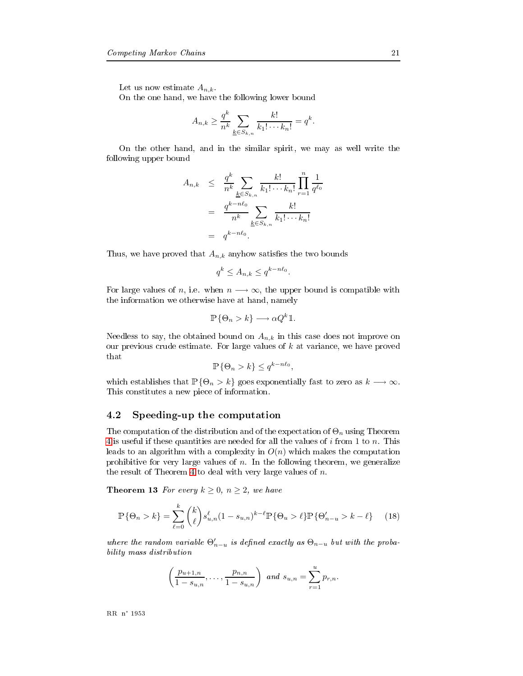Let us now estimate  $A_{n,k}$ .

8 - - 0 - - -0+ 0

$$
A_{n,k} \geq \frac{q^k}{n^k} \sum_{\underline{k} \in S_{k,n}} \frac{k!}{k_1! \cdots k_n!} = q^k.
$$

8 - - - - 0 0 0 following upper bound

$$
A_{n,k} \leq \frac{q^k}{n^k} \sum_{\underline{k} \in S_{k,n}} \frac{k!}{k_1! \cdots k_n!} \prod_{r=1}^n \frac{1}{q^{\ell_0}}
$$
  
= 
$$
\frac{q^{k-n\ell_0}}{n^k} \sum_{\underline{k} \in S_{k,n}} \frac{k!}{k_1! \cdots k_n!}
$$
  
= 
$$
q^{k-n\ell_0}.
$$

Thus, we have proved that  $A_{n,k}$  any how satisfies the two bounds

$$
q^k \le A_{n,k} \le q^{k - n\ell_0}.
$$

For large values of n, i.e. when  $n \longrightarrow \infty$ , the upper bound is compatible with - 0 -0 - -

$$
\mathbb{P}\{\Theta_n > k\} \longrightarrow \alpha Q^k \mathbb{1}.
$$

Needless to say, the obtained bound on  $A_{n,k}$  in this case does not improve on our previous crude estimate. For large values of  $k$  at variance, we have proved that

$$
\mathbb{P}\{\Theta_n > k\} \le q^{k - n\ell_0},
$$

which establishes that  $\mathbb{P}\{\Theta_n > k\}$  goes exponentially fast to zero as  $k \longrightarrow \infty$ .  $\mathbf{1}$  , and  $\mathbf{1}$  , and  $\mathbf{1}$  , and  $\mathbf{1}$  , and  $\mathbf{1}$  , and  $\mathbf{1}$  , and  $\mathbf{1}$ 

#### 4.2

e computation of the distribution and of the expectation of  $\Theta_n$  using Theorem 4 is useful if these quantities are needed for all the values of  $i$  from 1 to  $n$ . This ds to an algorithm with a complexity in  $O(n)$  which makes the computation ibitive for very large values of  $n$ . In the following theorem, we generalize e result of Theorem 4 to deal with very large values of  $n$ .

**Theorem 13** For every  $k \geq 0$ ,  $n \geq 2$ , we have

$$
\mathbb{P}\{\Theta_n > k\} = \sum_{\ell=0}^k {k \choose \ell} s_{u,n}^{\ell} (1 - s_{u,n})^{k-\ell} \mathbb{P}\{\Theta_u > \ell\} \mathbb{P}\{\Theta'_{n-u} > k - \ell\} \tag{18}
$$

where the random variable  $\Theta'_{n-u}$  is defined exactly as  $\Theta_{n-u}$  but with the proba------*-* ------ -------------

$$
\left(\frac{p_{u+1,n}}{1-s_{u,n}},\ldots,\frac{p_{n,n}}{1-s_{u,n}}\right) \text{ and } s_{u,n}=\sum_{r=1}^u p_{r,n}.
$$

---- -- ----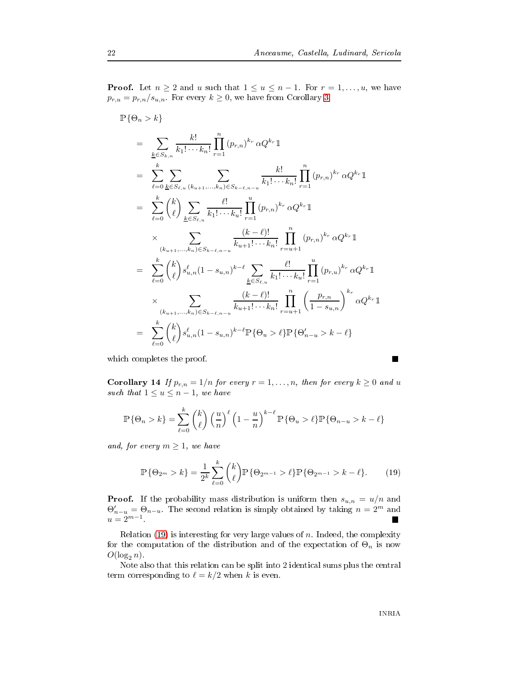**Proof.** Let  $n \geq 2$  and u such that  $1 \leq u \leq n-1$ . For  $r = 1, \ldots, u$ , we have  $p_{r,u} = p_{r,n}/s_{u,n}$ . For every  $k \geq 0$ , we have from Corollary 3

$$
\mathbb{P}\{\Theta_{n} > k\} \n= \sum_{k \in S_{k,n}} \frac{k!}{k_{1}! \cdots k_{n}!} \prod_{r=1}^{n} (p_{r,n})^{k_{r}} \alpha Q^{k_{r}} \mathbb{1} \n= \sum_{\ell=0}^{k} \sum_{\underline{k} \in S_{\ell,u}} \sum_{(k_{u+1},...,k_{n}) \in S_{k-\ell,n-u}} \frac{k!}{k_{1}! \cdots k_{n}!} \prod_{r=1}^{n} (p_{r,n})^{k_{r}} \alpha Q^{k_{r}} \mathbb{1} \n= \sum_{\ell=0}^{k} {k \choose \ell} \sum_{\underline{k} \in S_{\ell,u}} \frac{\ell!}{k_{1}! \cdots k_{u}!} \prod_{r=1}^{u} (p_{r,n})^{k_{r}} \alpha Q^{k_{r}} \mathbb{1} \n\times \sum_{(k_{u+1},...,k_{n}) \in S_{k-\ell,n-u}} \frac{(k-\ell)!}{k_{u+1}! \cdots k_{n}!} \prod_{r=u+1}^{n} (p_{r,n})^{k_{r}} \alpha Q^{k_{r}} \mathbb{1} \n= \sum_{\ell=0}^{k} {k \choose \ell} s_{u,n}^{\ell} (1 - s_{u,n})^{k-\ell} \sum_{\underline{k} \in S_{\ell,u}} \frac{\ell!}{k_{1}! \cdots k_{u}!} \prod_{r=1}^{u} (p_{r,u})^{k_{r}} \alpha Q^{k_{r}} \mathbb{1} \n\times \sum_{(k_{u+1},...,k_{n}) \in S_{k-\ell,n-u}} \frac{(k-\ell)!}{k_{u+1}! \cdots k_{n}!} \prod_{r=u+1}^{n} \left( \frac{p_{r,n}}{1 - s_{u,n}} \right)^{k_{r}} \alpha Q^{k_{r}} \mathbb{1} \n= \sum_{\ell=0}^{k} {k \choose \ell} s_{u,n}^{\ell} (1 - s_{u,n})^{k-\ell} \mathbb{P}\{\Theta_{u} > \ell\} \mathbb{P}\{\Theta'_{n-u} > k - \ell\}
$$

<span id="page-24-0"></span> - -/

**Corollary 14** If  $p_{r,n} = 1/n$  for every  $r = 1, \ldots, n$ , then for every  $k \geq 0$  and u such that  $1 \le u \le n-1$ , we have

$$
\mathbb{P}\{\Theta_n > k\} = \sum_{\ell=0}^k {k \choose \ell} \left(\frac{u}{n}\right)^{\ell} \left(1 - \frac{u}{n}\right)^{k-\ell} \mathbb{P}\{\Theta_u > \ell\} \mathbb{P}\{\Theta_{n-u} > k - \ell\}
$$

and, for every  $m \geq 1$ , we have

$$
\mathbb{P}\{\Theta_{2^m} > k\} = \frac{1}{2^k} \sum_{\ell=0}^k {k \choose \ell} \mathbb{P}\{\Theta_{2^{m-1}} > \ell\} \mathbb{P}\{\Theta_{2^{m-1}} > k - \ell\}.
$$
 (19)

**Proof.** If the probability mass distribution is uniform then  $s_{u,n} = u/n$  and  $\Theta'_{n-u} = \Theta_{n-u}$ . The second relation is simply obtained by taking  $n = 2^m$  and  $u = 2^{m-1}$ .

Relation (19) is interesting for very large values of  $n$  . Indeed, the complexity for the computation of the distribution and of the expectation of  $\Theta_n$  is now  $O(\log_2 n)$ .

Note also that this relation can be split into 2 identical sums plus the central term corresponding to  $\ell = k/2$  when k is even.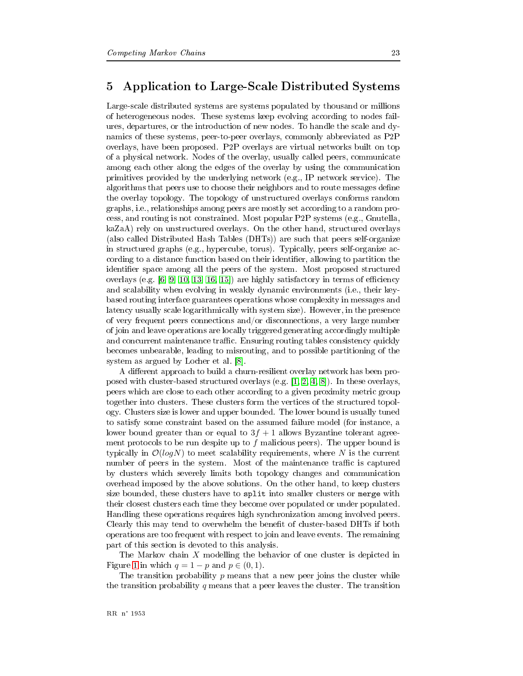#### $\mathbf 5$ Application to Large-Scale Distributed Systems

Large-scale distributed systems are systems populated by thousand or millions of heterogeneous nodes. These systems keep evolving according to nodes failures, departures, or the introduction of new nodes. To handle the scale and dynamics of these systems, peer-to-peer overlays, commonly abbreviated as P2P overlays, have been proposed. P2P overlays are virtual networks built on top of a physical network. Nodes of the overlay, usually called peers, communicate among each other along the edges of the overlay by using the communication primitives provided by the underlying network (e.g., IP network service). The algorithms that peers use to choose their neighbors and to route messages define the overlay topology. The topology of unstructured overlays conforms random graphs, i.e., relationships among peers are mostly set according to a random process, and routing is not constrained. Most popular P2P systems (e.g., Gnutella, kaZaA) rely on unstructured overlays. On the other hand, structured overlays (also called Distributed Hash Tables (DHTs)) are such that peers self-organize in structured graphs (e.g., hypercube, torus). Typically, peers self-organize according to a distance function based on their identifier, allowing to partition the identifier space among all the peers of the system. Most proposed structured overlays (e.g.  $[6, 9, 10, 13, 16, 15]$ ) are highly satisfactory in terms of efficiency and scalability when evolving in weakly dynamic environments (i.e., their keybased routing interface guarantees operations whose complexity in messages and latency usually scale logarithmically with system size). However, in the presence of very frequent peers connections and/or disconnections, a very large number of join and leave operations are locally triggered generating accordingly multiple and concurrent maintenance traffic. Ensuring routing tables consistency quickly becomes unbearable, leading to misrouting, and to possible partitioning of the system as argued by Locher et al. [8].

A different approach to build a churn-resilient overlay network has been proposed with cluster-based structured overlays (e.g.  $[1, 2, 4, 8]$ ). In these overlays, peers which are close to each other according to a given proximity metric group together into clusters. These clusters form the vertices of the structured topology. Clusters size is lower and upper bounded. The lower bound is usually tuned to satisfy some constraint based on the assumed failure model (for instance, a lower bound greater than or equal to  $3f + 1$  allows Byzantine tolerant agreement protocols to be run despite up to  $f$  malicious peers). The upper bound is typically in  $\mathcal{O}(logN)$  to meet scalability requirements, where N is the current number of peers in the system. Most of the maintenance traffic is captured by clusters which severely limits both topology changes and communication overhead imposed by the above solutions. On the other hand, to keep clusters size bounded, these clusters have to split into smaller clusters or merge with their closest clusters each time they become over populated or under populated. Handling these operations requires high synchronization among involved peers. Clearly this may tend to overwhelm the benefit of cluster-based DHTs if both operations are too frequent with respect to join and leave events. The remaining part of this section is devoted to this analysis.

The Markov chain  $X$  modelling the behavior of one cluster is depicted in Figure 1 in which  $q = 1 - p$  and  $p \in (0, 1)$ .

The transition probability  $p$  means that a new peer joins the cluster while the transition probability q means that a peer leaves the cluster. The transition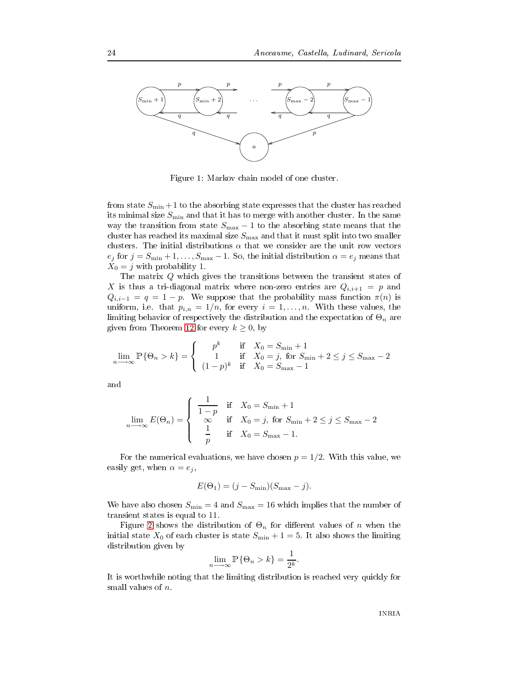

>+ \$ . 
- - 
/

from state  $S_{\rm min}+1$  to the absorbing state expresses that the cluster has reached its minimal size  $S_{\rm min}$  and that it has to merge with another cluster. In the same way the transition from state  $S_{\text{max}}-1$  to the absorbing state means that the cluster has reached its maximal size  $S_{\rm max}$  and that it must split into two smaller clusters. The initial distributions  $\alpha$  that we consider are the unit row vectors  $e_j$  for  $j = S_{\min} + 1, \ldots, S_{\max} - 1$ . So, the initial distribution  $\alpha = e_j$  means that  $X_0 = j$  with probability 1.

The matrix  $Q$  which gives the transitions between the transient states of X is thus a tri-diagonal matrix where non-zero entries are  $Q_{i,i+1} = p$  and  $Q_{i,i-1} = q = 1 - p$  We suppose that the probability mass function  $\pi(n)$  is uniform, i.e. that  $p_{i,n} = 1/n$ , for every  $i = 1, ..., n$ . With these values, the limiting behavior of respectively the distribution and the expectation of  $\Theta_n$  are given from Theorem 12 for every  $k\geq 0,$  by

$$
\lim_{n \to \infty} \mathbb{P}\{\Theta_n > k\} = \begin{cases} p^k & \text{if } X_0 = S_{\min} + 1 \\ 1 & \text{if } X_0 = j, \text{ for } S_{\min} + 2 \le j \le S_{\max} - 2 \\ (1 - p)^k & \text{if } X_0 = S_{\max} - 1 \end{cases}
$$

$$
\lim_{n \to \infty} E(\Theta_n) = \begin{cases} \frac{1}{1-p} & \text{if } X_0 = S_{\min} + 1 \\ \infty & \text{if } X_0 = j \text{, for } S_{\min} + 2 \le j \le S_{\max} - 2 \\ \frac{1}{p} & \text{if } X_0 = S_{\max} - 1. \end{cases}
$$

For the numerical evaluations, we have chosen  $p = 1/2$ . With this value, we easily get, when  $\alpha = e_j$ ,

$$
E(\Theta_1) = (j - S_{\min})(S_{\max} - j).
$$

We have also chosen  $S_{\text{min}} = 4$  and  $S_{\text{max}} = 16$  which implies that the number of transient states is equal to 11.

Figure 2 shows the distribution of  $\Theta_n$  for different values of  $n$  when the initial state  $X_0$  of each cluster is state  $S_{\text{min}} + 1 = 5$ . It also shows the limiting distribution given by

$$
\lim_{n \to \infty} \mathbb{P}\{\Theta_n > k\} = \frac{1}{2^k}.
$$

# 0
-0- + - - + - . small values of  $n$ .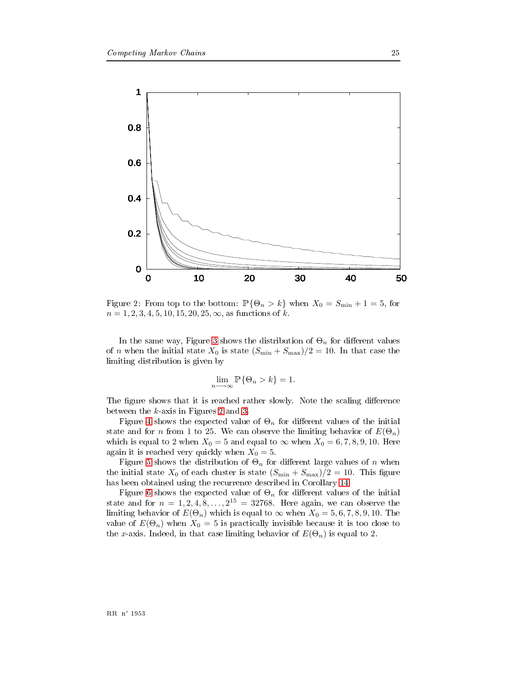

<span id="page-27-0"></span>Figure 2: From top to the bottom:  $\mathbb{P}\{\Theta_n > k\}$  when  $X_0 = S_{\min} + 1 = 5$ , for  $n = 1, 2, 3, 4, 5, 10, 15, 20, 25, \infty$ , as functions of k.

In the same way, Figure 3 shows the distribution of  $\Theta_n$  for different values of *n* when the initial state  $X_0$  is state  $(S_{\min} + S_{\max})/2 = 10$ . In that case the limiting distribution is given by

$$
\lim_{n \to \infty} \mathbb{P}\{\Theta_n > k\} = 1.
$$

The figure shows that it is reached rather slowly. Note the scaling difference between the  $k$ -axis in Figures 2 and 3.

Figure 4 shows the expected value of  $\Theta_n$  for different values of the initial state and for *n* from 1 to 25. We can observe the limiting behavior of  $E(\Theta_n)$ which is equal to 2 when  $X_0 = 5$  and equal to  $\infty$  when  $X_0 = 6, 7, 8, 9, 10$ . Here again it is reached very quickly when  $X_0 = 5$ .

Figure 5 shows the distribution of  $\Theta_n$  for different large values of n when the initial state  $X_0$  of each cluster is state  $(S_{\min} + S_{\max})/2 = 10$ . This figure has been obtained using the recurrence described in Corollary 14.

Figure 6 shows the expected value of  $\Theta_n$  for different values of the initial state and for  $n = 1, 2, 4, 8, \ldots, 2^{15} = 32768$ . Here again, we can observe the limiting behavior of  $E(\Theta_n)$  which is equal to  $\infty$  when  $X_0 = 5, 6, 7, 8, 9, 10$ . The value of  $E(\Theta_n)$  when  $X_0 = 5$  is practically invisible because it is too close to the x-axis. Indeed, in that case limiting behavior of  $E(\Theta_n)$  is equal to 2.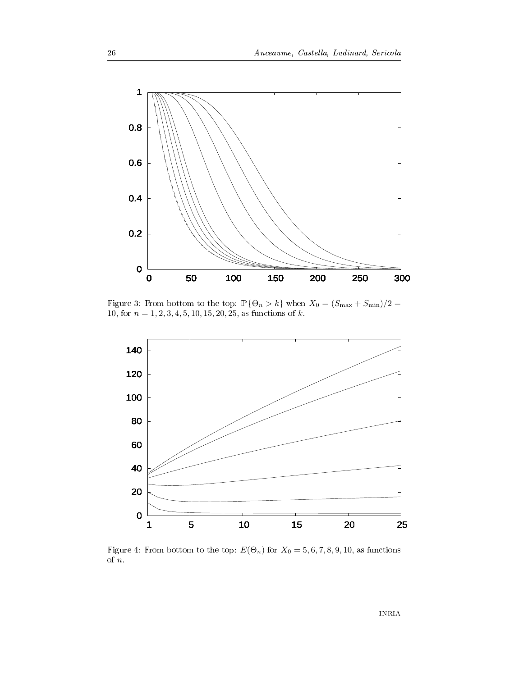

<span id="page-28-0"></span>Figure 3: From bottom to the top:  $\mathbb{P}\{\Theta_n > k\}$  when  $X_0 = (S_{\text{max}} + S_{\text{min}})/2 =$ 10, for  $n = 1, 2, 3, 4, 5, 10, 15, 20, 25$ , as functions of k.



<span id="page-28-1"></span>Figure 4: From bottom to the top:  $E(\Theta_n)$  for  $X_0 = 5, 6, 7, 8, 9, 10,$  as functions of  $n$ .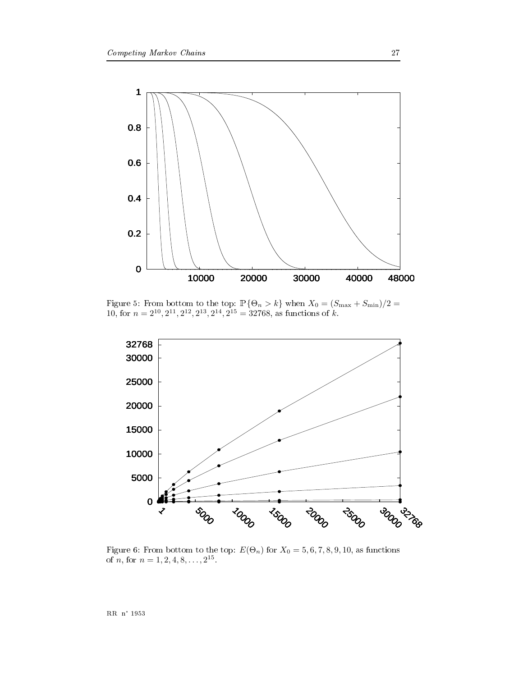

<span id="page-29-0"></span>Figure 5: From bottom to the top:  $\mathbb{P}\{\Theta_n > k\}$  when  $X_0 = (S_{\text{max}} + S_{\text{min}})/2 = 10$ , for  $n = 2^{10}, 2^{11}, 2^{12}, 2^{13}, 2^{14}, 2^{15} = 32768$ , as functions of  $k$ .



<span id="page-29-1"></span>Figure 6: From bottom to the top:  $E(\Theta_n)$  for  $X_0 = 5, 6, 7, 8, 9, 10$ , as functions of n, for  $n = 1, 2, 4, 8, ..., 2^{15}$ .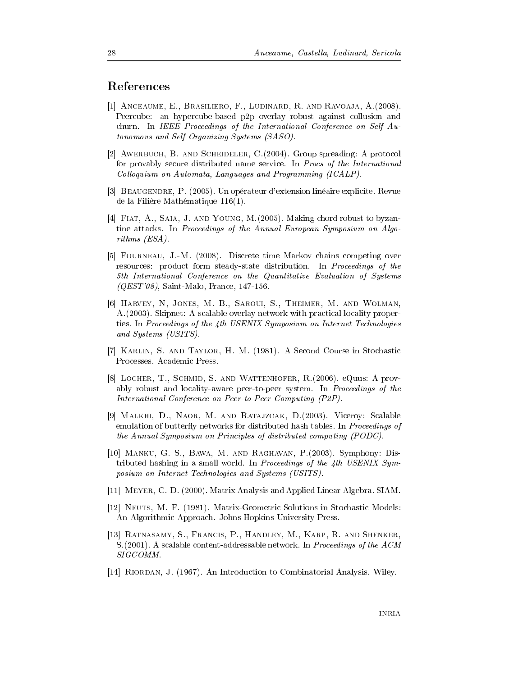### <span id="page-30-0"></span>References

- [1] ANCEAUME, E., BRASILIERO, F., LUDINARD, R. AND RAVOAJA, A. (2008). Peercube: an hypercube-based p2p overlay robust against collusion and churn. In IEEE Proceedings of the International Conference on Self Autonomous and Self Organizing Systems (SASO).
- [2] AWERBUCH, B. AND SCHEIDELER, C. (2004). Group spreading: A protocol for provably secure distributed name service. In *Procs of the International* Colloquium on Automata, Languages and Programming (ICALP).
- <span id="page-30-2"></span>[3] BEAUGENDRE, P. (2005). Un opérateur d'extension linéaire explicite. Revue de la Filière Mathématique 116(1).
- [4] FIAT, A., SAIA, J. AND YOUNG, M. (2005). Making chord robust to byzantine attacks. In Proceedings of the Annual European Symposium on Algo $rithms$  (ESA).
- <span id="page-30-1"></span>[5] FOURNEAU, J.-M. (2008). Discrete time Markov chains competing over resources: product form steady-state distribution. In Proceedings of the 5th International Conference on the Quantitative Evaluation of Systems  $(QEST'08)$ , Saint-Malo, France, 147-156.
- [6] HARVEY, N, JONES, M. B., SAROUI, S., THEIMER, M. AND WOLMAN, A. (2003). Skipnet: A scalable overlay network with practical locality properties. In Proceedings of the 4th USENIX Symposium on Internet Technologies and Systems (USITS).
- [7] KARLIN, S. AND TAYLOR, H. M. (1981). A Second Course in Stochastic Processes. Academic Press.
- [8] LOCHER, T., SCHMID, S. AND WATTENHOFER, R. (2006). eQuus: A provably robust and locality-aware peer-to-peer system. In Proceedings of the International Conference on Peer-to-Peer Computing (P2P).
- <span id="page-30-4"></span>[9] MALKHI, D., NAOR, M. AND RATAJZCAK, D. (2003). Viceroy: Scalable emulation of butterfly networks for distributed hash tables. In Proceedings of the Annual Symposium on Principles of distributed computing (PODC).
- <span id="page-30-5"></span>[10] MANKU, G. S., BAWA, M. AND RAGHAVAN, P. (2003). Symphony: Distributed hashing in a small world. In Proceedings of the 4th USENIX Symposium on Internet Technologies and Systems (USITS).
- [11] MEYER, C. D. (2000). Matrix Analysis and Applied Linear Algebra. SIAM.
- [12] NEUTS, M. F. (1981). Matrix-Geometric Solutions in Stochastic Models: An Algorithmic Approach. Johns Hopkins University Press.
- <span id="page-30-6"></span>[13] RATNASAMY, S., FRANCIS, P., HANDLEY, M., KARP, R. AND SHENKER, S. (2001). A scalable content-addressable network. In *Proceedings of the ACM* SIGCOMM.
- <span id="page-30-3"></span>[14] RIORDAN, J. (1967). An Introduction to Combinatorial Analysis. Wiley.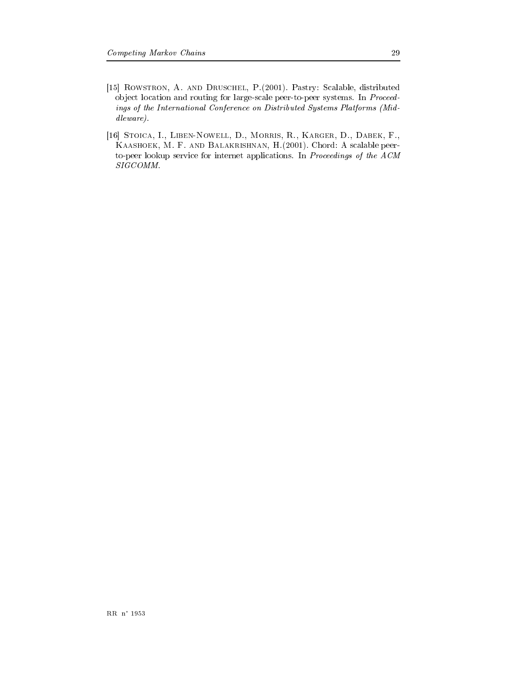- <span id="page-31-1"></span>[15] ROWSTRON, A. AND DRUSCHEL, P. (2001). Pastry: Scalable, distributed object location and routing for large-scale peer-to-peer systems. In Proceedings of the International Conference on Distributed Systems Platforms (Mid $dlevance$ ).
- <span id="page-31-0"></span>[16] STOICA, I., LIBEN-NOWELL, D., MORRIS, R., KARGER, D., DABEK, F., KAASHOEK, M. F. AND BALAKRISHNAN, H. (2001). Chord: A scalable peerto-peer lookup service for internet applications. In Proceedings of the ACM  $SIGCOMM$